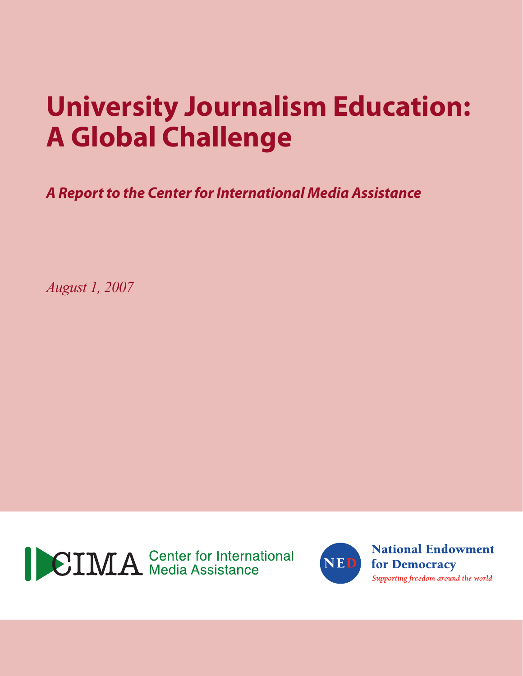# **University Journalism Education: A Global Challenge**

*A Report to the Center for International Media Assistance*

*August 1, 2007* 





**National Endowment** for Democracy Supporting freedom around the world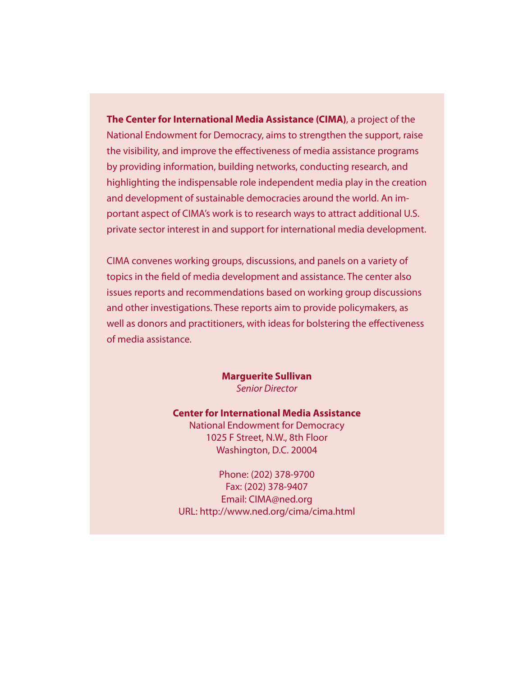**The Center for International Media Assistance (CIMA)**, a project of the National Endowment for Democracy, aims to strengthen the support, raise the visibility, and improve the effectiveness of media assistance programs by providing information, building networks, conducting research, and highlighting the indispensable role independent media play in the creation and development of sustainable democracies around the world. An important aspect of CIMA's work is to research ways to attract additional U.S. private sector interest in and support for international media development.

CIMA convenes working groups, discussions, and panels on a variety of topics in the field of media development and assistance. The center also issues reports and recommendations based on working group discussions and other investigations. These reports aim to provide policymakers, as well as donors and practitioners, with ideas for bolstering the effectiveness of media assistance.

> **Marguerite Sullivan** *Senior Director*

#### **Center for International Media Assistance** National Endowment for Democracy 1025 F Street, N.W., 8th Floor Washington, D.C. 20004

Phone: (202) 378-9700 Fax: (202) 378-9407 Email: CIMA@ned.org URL: http://www.ned.org/cima/cima.html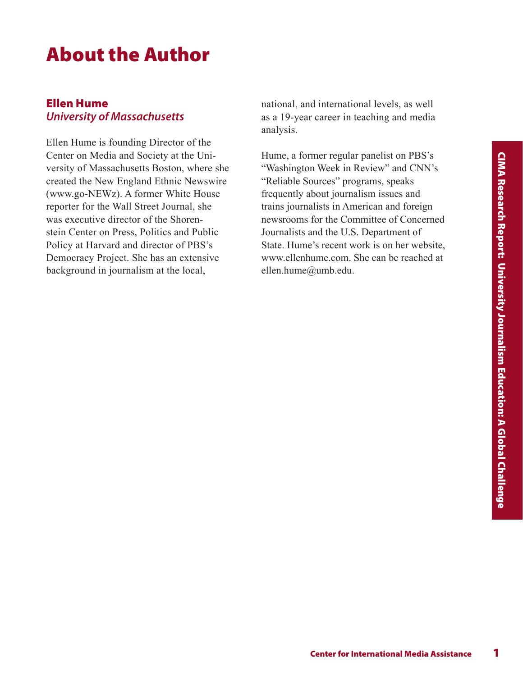# About the Author

#### Ellen Hume *University of Massachusetts*

Ellen Hume is founding Director of the Center on Media and Society at the University of Massachusetts Boston, where she created the New England Ethnic Newswire (www.go-NEWz). A former White House reporter for the Wall Street Journal, she was executive director of the Shorenstein Center on Press, Politics and Public Policy at Harvard and director of PBS's Democracy Project. She has an extensive background in journalism at the local,

national, and international levels, as well as a 19-year career in teaching and media analysis.

mer regular panelist on PBS's<br>
on Week in Review" and CNN's<br>
Sources' programs, speaks<br>
about journalism issues and<br>
about journalism issues and<br>
and the U.S. Department of<br>
and the U.S. Department of<br>
e's recent work is o Hume, a former regular panelist on PBS's "Washington Week in Review" and CNN's "Reliable Sources" programs, speaks frequently about journalism issues and trains journalists in American and foreign newsrooms for the Committee of Concerned Journalists and the U.S. Department of State. Hume's recent work is on her website, www.ellenhume.com. She can be reached at ellen.hume@umb.edu.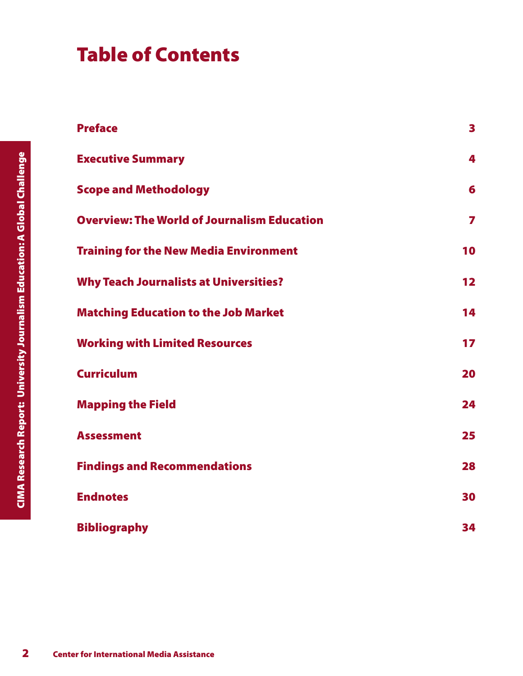### Table of Contents

|                                                                                | <b>Preface</b>                                     | 3  |
|--------------------------------------------------------------------------------|----------------------------------------------------|----|
|                                                                                | <b>Executive Summary</b>                           | 4  |
| IMA Research Report:  University Journalism Education: A Global Challenge<br>U | <b>Scope and Methodology</b>                       | 6  |
|                                                                                | <b>Overview: The World of Journalism Education</b> | 7  |
|                                                                                | <b>Training for the New Media Environment</b>      | 10 |
|                                                                                | <b>Why Teach Journalists at Universities?</b>      | 12 |
|                                                                                | <b>Matching Education to the Job Market</b>        | 14 |
|                                                                                | <b>Working with Limited Resources</b>              | 17 |
|                                                                                | <b>Curriculum</b>                                  | 20 |
|                                                                                | <b>Mapping the Field</b>                           | 24 |
|                                                                                | <b>Assessment</b>                                  | 25 |
|                                                                                | <b>Findings and Recommendations</b>                | 28 |
|                                                                                | <b>Endnotes</b>                                    | 30 |
|                                                                                | <b>Bibliography</b>                                | 34 |
|                                                                                |                                                    |    |
|                                                                                |                                                    |    |
|                                                                                |                                                    |    |
| $\mathbf{2}$                                                                   | <b>Center for International Media Assistance</b>   |    |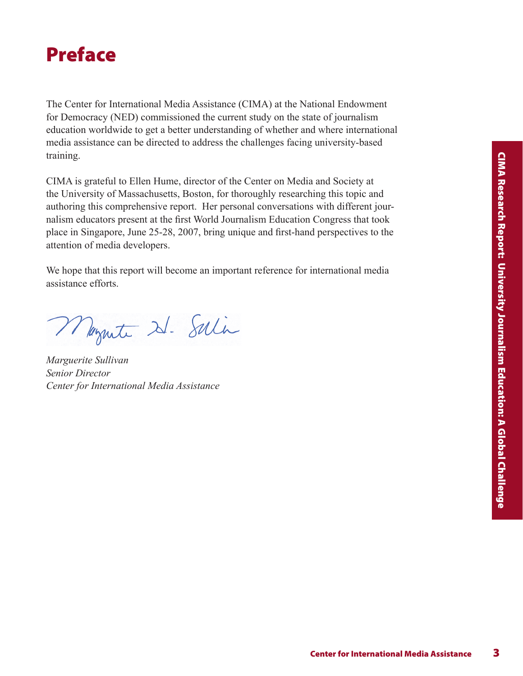

The Center for International Media Assistance (CIMA) at the National Endowment for Democracy (NED) commissioned the current study on the state of journalism education worldwide to get a better understanding of whether and where international media assistance can be directed to address the challenges facing university-based training.

CIMA is grateful to Ellen Hume, director of the Center on Media and Society at the University of Massachusetts, Boston, for thoroughly researching this topic and authoring this comprehensive report. Her personal conversations with different journalism educators present at the first World Journalism Education Congress that took place in Singapore, June 25-28, 2007, bring unique and first-hand perspectives to the attention of media developers.

We hope that this report will become an important reference for international media assistance efforts.

Maynete 21. Selin

*Marguerite Sullivan Senior Director Center for International Media Assistance*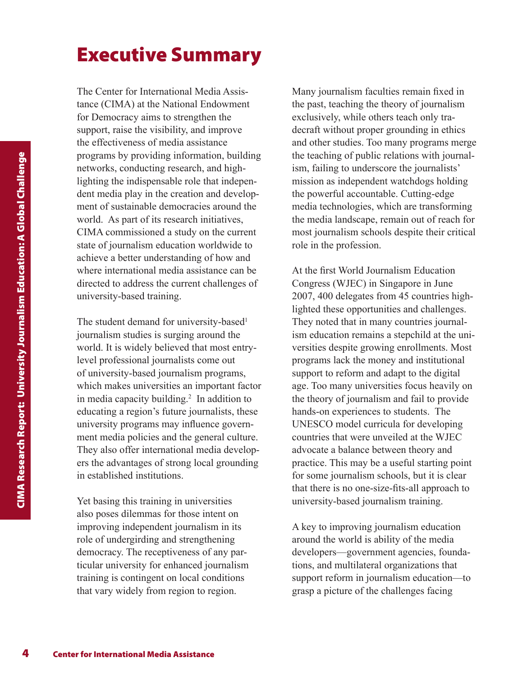### Executive Summary

The Center for International Media Assistance (CIMA) at the National Endowment for Democracy aims to strengthen the support, raise the visibility, and improve the effectiveness of media assistance programs by providing information, building networks, conducting research, and highlighting the indispensable role that independent media play in the creation and development of sustainable democracies around the world. As part of its research initiatives, CIMA commissioned a study on the current state of journalism education worldwide to achieve a better understanding of how and where international media assistance can be directed to address the current challenges of university-based training.

Programs by providing information<br>
lighting the indispensable role tha<br>
dent media play in the creation are<br>
ment of sustainable democracies is<br>
world. As part of its research initial<br>
CIMA commissioned a study on the stat The student demand for university-based<sup>1</sup> journalism studies is surging around the world. It is widely believed that most entrylevel professional journalists come out of university-based journalism programs, which makes universities an important factor in media capacity building.<sup>2</sup> In addition to educating a region's future journalists, these university programs may influence government media policies and the general culture. They also offer international media developers the advantages of strong local grounding in established institutions.

Yet basing this training in universities also poses dilemmas for those intent on improving independent journalism in its role of undergirding and strengthening democracy. The receptiveness of any particular university for enhanced journalism training is contingent on local conditions that vary widely from region to region.

Many journalism faculties remain fixed in the past, teaching the theory of journalism exclusively, while others teach only tradecraft without proper grounding in ethics and other studies. Too many programs merge the teaching of public relations with journalism, failing to underscore the journalists' mission as independent watchdogs holding the powerful accountable. Cutting-edge media technologies, which are transforming the media landscape, remain out of reach for most journalism schools despite their critical role in the profession.

At the first World Journalism Education Congress (WJEC) in Singapore in June 2007, 400 delegates from 45 countries highlighted these opportunities and challenges. They noted that in many countries journalism education remains a stepchild at the universities despite growing enrollments. Most programs lack the money and institutional support to reform and adapt to the digital age. Too many universities focus heavily on the theory of journalism and fail to provide hands-on experiences to students. The UNESCO model curricula for developing countries that were unveiled at the WJEC advocate a balance between theory and practice. This may be a useful starting point for some journalism schools, but it is clear that there is no one-size-fits-all approach to university-based journalism training.

A key to improving journalism education around the world is ability of the media developers—government agencies, foundations, and multilateral organizations that support reform in journalism education—to grasp a picture of the challenges facing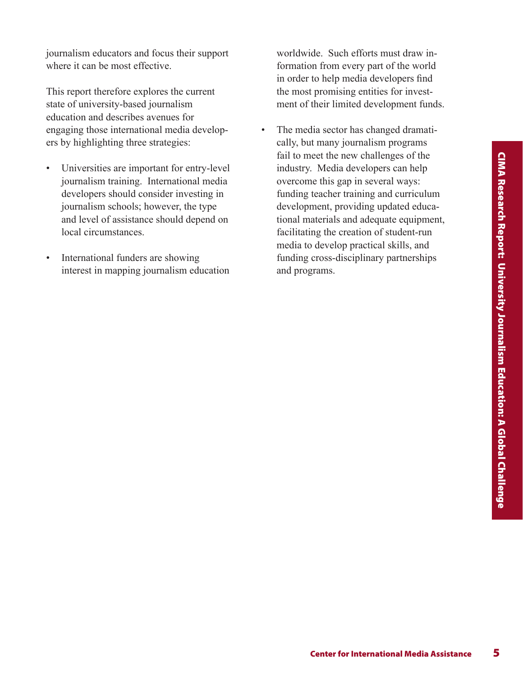journalism educators and focus their support where it can be most effective.

This report therefore explores the current state of university-based journalism education and describes avenues for engaging those international media developers by highlighting three strategies:

- Universities are important for entry-level journalism training. International media developers should consider investing in journalism schools; however, the type and level of assistance should depend on local circumstances.
- International funders are showing interest in mapping journalism education

worldwide. Such efforts must draw information from every part of the world in order to help media developers find the most promising entities for investment of their limited development funds.

• The media sector has changed dramatically, but many journalism programs fail to meet the new challenges of the industry. Media developers can help overcome this gap in several ways: funding teacher training and curriculum development, providing updated educational materials and adequate equipment, facilitating the creation of student-run media to develop practical skills, and funding cross-disciplinary partnerships and programs.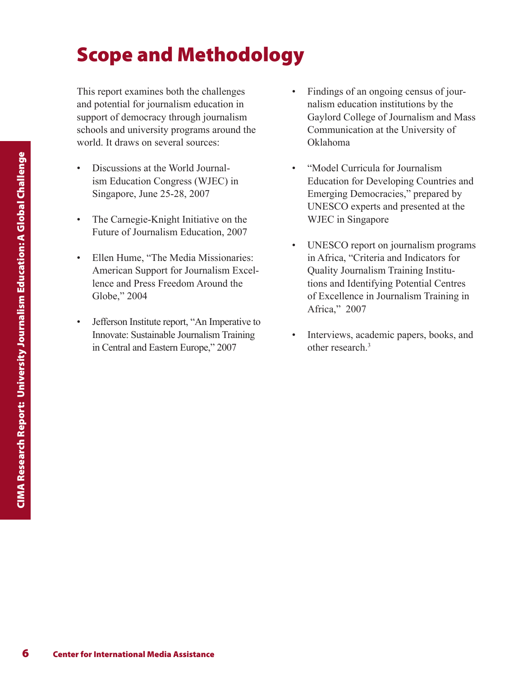### Scope and Methodology

This report examines both the challenges and potential for journalism education in support of democracy through journalism schools and university programs around the world. It draws on several sources:

- Discussions at the World Journalism Education Congress (WJEC) in Singapore, June 25-28, 2007
- The Carnegie-Knight Initiative on the Future of Journalism Education, 2007
- Center for International Media Assistance<br>
Center for International Media Mis<br>
The Carregie-Knight Initiative<br>
The Carregie-Knight Initiative<br>
The Carregie-Knight Initiative<br>
Coloney: The Media Mis<br>
Annerican Support for J • Ellen Hume, "The Media Missionaries: American Support for Journalism Excellence and Press Freedom Around the Globe," 2004
	- Jefferson Institute report, "An Imperative to Innovate: Sustainable Journalism Training in Central and Eastern Europe," 2007
- Findings of an ongoing census of journalism education institutions by the Gaylord College of Journalism and Mass Communication at the University of Oklahoma
- "Model Curricula for Journalism Education for Developing Countries and Emerging Democracies," prepared by UNESCO experts and presented at the WJEC in Singapore
- UNESCO report on journalism programs in Africa, "Criteria and Indicators for Quality Journalism Training Institutions and Identifying Potential Centres of Excellence in Journalism Training in Africa," 2007
- Interviews, academic papers, books, and other research.<sup>3</sup>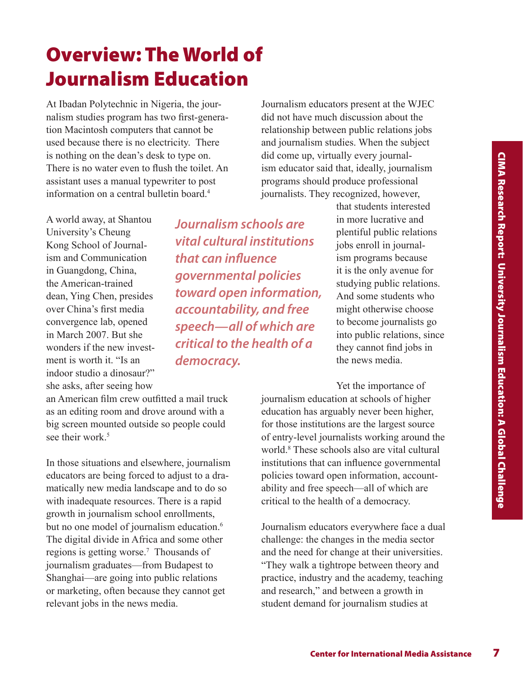## Overview: The World of Journalism Education

At Ibadan Polytechnic in Nigeria, the journalism studies program has two first-generation Macintosh computers that cannot be used because there is no electricity. There is nothing on the dean's desk to type on. There is no water even to flush the toilet. An assistant uses a manual typewriter to post information on a central bulletin board  $4$ 

Journalism educators present at the WJEC did not have much discussion about the relationship between public relations jobs and journalism studies. When the subject did come up, virtually every journalism educator said that, ideally, journalism programs should produce professional journalists. They recognized, however,

A world away, at Shantou University's Cheung Kong School of Journalism and Communication in Guangdong, China, the American-trained dean, Ying Chen, presides over China's first media convergence lab, opened in March 2007. But she wonders if the new investment is worth it. "Is an indoor studio a dinosaur?" she asks, after seeing how

*Journalism schools are vital cultural institutions that can influence governmental policies toward open information, accountability, and free speech—all of which are critical to the health of a democracy.*

that students interested in more lucrative and plentiful public relations jobs enroll in journalism programs because it is the only avenue for studying public relations. And some students who might otherwise choose to become journalists go into public relations, since they cannot find jobs in the news media.

an American film crew outfitted a mail truck as an editing room and drove around with a big screen mounted outside so people could see their work.<sup>5</sup>

In those situations and elsewhere, journalism educators are being forced to adjust to a dramatically new media landscape and to do so with inadequate resources. There is a rapid growth in journalism school enrollments, but no one model of journalism education.<sup>6</sup> The digital divide in Africa and some other regions is getting worse.<sup>7</sup> Thousands of journalism graduates—from Budapest to Shanghai—are going into public relations or marketing, often because they cannot get relevant jobs in the news media.

Yet the importance of journalism education at schools of higher education has arguably never been higher, for those institutions are the largest source of entry-level journalists working around the world.8 These schools also are vital cultural institutions that can influence governmental policies toward open information, accountability and free speech—all of which are critical to the health of a democracy.

Journalism educators everywhere face a dual challenge: the changes in the media sector and the need for change at their universities. "They walk a tightrope between theory and practice, industry and the academy, teaching and research," and between a growth in student demand for journalism studies at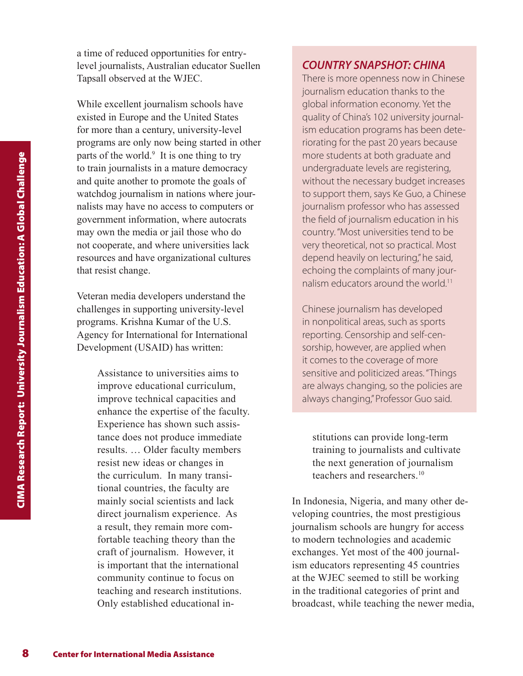a time of reduced opportunities for entrylevel journalists, Australian educator Suellen Tapsall observed at the WJEC.

While excellent journalism schools have existed in Europe and the United States for more than a century, university-level programs are only now being started in other parts of the world.<sup>9</sup> It is one thing to try to train journalists in a mature democracy and quite another to promote the goals of watchdog journalism in nations where journalists may have no access to computers or government information, where autocrats may own the media or jail those who do not cooperate, and where universities lack resources and have organizational cultures that resist change.

Veteran media developers understand the challenges in supporting university-level programs. Krishna Kumar of the U.S. Agency for International for International Development (USAID) has written:

Parts of the world.<sup>9</sup> It is one thing<br>
to train journalists in a matter delay<br>
and quite another to promote the<br>
watchdog journalism in nations were<br>
may own the media or jail those versity<br>
resources and have congrationa Assistance to universities aims to improve educational curriculum, improve technical capacities and enhance the expertise of the faculty. Experience has shown such assistance does not produce immediate results. … Older faculty members resist new ideas or changes in the curriculum. In many transitional countries, the faculty are mainly social scientists and lack direct journalism experience. As a result, they remain more comfortable teaching theory than the craft of journalism. However, it is important that the international community continue to focus on teaching and research institutions. Only established educational in-

#### *COUNTRY SNAPSHOT: CHINA*

There is more openness now in Chinese journalism education thanks to the global information economy. Yet the quality of China's 102 university journalism education programs has been deteriorating for the past 20 years because more students at both graduate and undergraduate levels are registering, without the necessary budget increases to support them, says Ke Guo, a Chinese journalism professor who has assessed the field of journalism education in his country. "Most universities tend to be very theoretical, not so practical. Most depend heavily on lecturing," he said, echoing the complaints of many journalism educators around the world.<sup>11</sup>

Chinese journalism has developed in nonpolitical areas, such as sports reporting. Censorship and self-censorship, however, are applied when it comes to the coverage of more sensitive and politicized areas. "Things are always changing, so the policies are always changing," Professor Guo said.

stitutions can provide long-term training to journalists and cultivate the next generation of journalism teachers and researchers.<sup>10</sup>

In Indonesia, Nigeria, and many other developing countries, the most prestigious journalism schools are hungry for access to modern technologies and academic exchanges. Yet most of the 400 journalism educators representing 45 countries at the WJEC seemed to still be working in the traditional categories of print and broadcast, while teaching the newer media,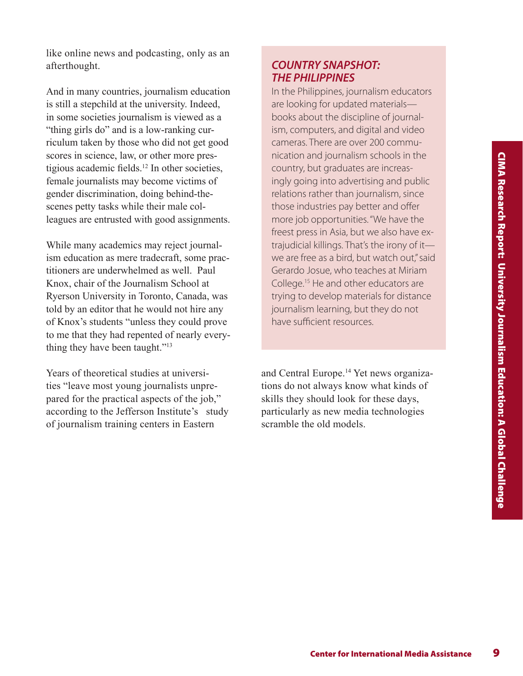like online news and podcasting, only as an afterthought.

And in many countries, journalism education is still a stepchild at the university. Indeed, in some societies journalism is viewed as a "thing girls do" and is a low-ranking curriculum taken by those who did not get good scores in science, law, or other more prestigious academic fields.12 In other societies, female journalists may become victims of gender discrimination, doing behind-thescenes petty tasks while their male colleagues are entrusted with good assignments.

While many academics may reject journalism education as mere tradecraft, some practitioners are underwhelmed as well. Paul Knox, chair of the Journalism School at Ryerson University in Toronto, Canada, was told by an editor that he would not hire any of Knox's students "unless they could prove to me that they had repented of nearly everything they have been taught."13

Years of theoretical studies at universities "leave most young journalists unprepared for the practical aspects of the job," according to the Jefferson Institute's study of journalism training centers in Eastern

#### *COUNTRY SNAPSHOT: THE PHILIPPINES*

and journalism schools in the<br>but graduates are increas-<br>may into advertising and public<br>rather than journalism, since<br>ustrices pay better and offer<br>assembles. We have the<br>search Media Assistance Research Report<br>all Sullin In the Philippines, journalism educators are looking for updated materials books about the discipline of journalism, computers, and digital and video cameras. There are over 200 communication and journalism schools in the country, but graduates are increasingly going into advertising and public relations rather than journalism, since those industries pay better and offer more job opportunities. "We have the freest press in Asia, but we also have extrajudicial killings. That's the irony of it we are free as a bird, but watch out," said Gerardo Josue, who teaches at Miriam College.15 He and other educators are trying to develop materials for distance journalism learning, but they do not have sufficient resources.

and Central Europe.14 Yet news organizations do not always know what kinds of skills they should look for these days, particularly as new media technologies scramble the old models.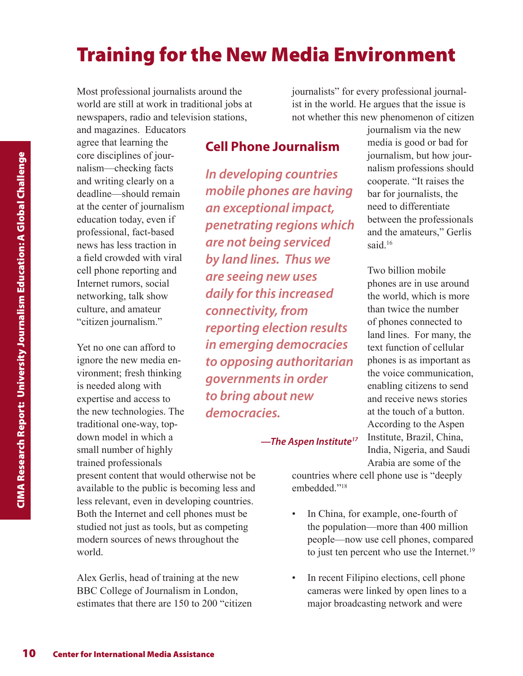### Training for the New Media Environment

Most professional journalists around the world are still at work in traditional jobs at newspapers, radio and television stations,

For disciplines of journal and writing facts and writing facts and writing clearly on a deadline—should remain and the center of journalism education today, even if professional, fact-based news has less traction in a fi and magazines. Educators agree that learning the core disciplines of journalism—checking facts and writing clearly on a deadline—should remain at the center of journalism education today, even if professional, fact-based news has less traction in a field crowded with viral cell phone reporting and Internet rumors, social networking, talk show culture, and amateur "citizen journalism."

Yet no one can afford to ignore the new media environment; fresh thinking is needed along with expertise and access to the new technologies. The traditional one-way, topdown model in which a small number of highly trained professionals

present content that would otherwise not be available to the public is becoming less and less relevant, even in developing countries. Both the Internet and cell phones must be studied not just as tools, but as competing modern sources of news throughout the world.

Alex Gerlis, head of training at the new BBC College of Journalism in London, estimates that there are 150 to 200 "citizen journalists" for every professional journalist in the world. He argues that the issue is not whether this new phenomenon of citizen

#### **Cell Phone Journalism**

*In developing countries mobile phones are having an exceptional impact, penetrating regions which are not being serviced by land lines. Thus we are seeing new uses daily for this increased connectivity, from reporting election results in emerging democracies to opposing authoritarian governments in order to bring about new democracies.*

journalism via the new media is good or bad for journalism, but how journalism professions should cooperate. "It raises the bar for journalists, the need to differentiate between the professionals and the amateurs," Gerlis said.<sup>16</sup>

Two billion mobile phones are in use around the world, which is more than twice the number of phones connected to land lines. For many, the text function of cellular phones is as important as the voice communication, enabling citizens to send and receive news stories at the touch of a button. According to the Aspen Institute, Brazil, China, India, Nigeria, and Saudi Arabia are some of the

*—The Aspen Institute17*

countries where cell phone use is "deeply embedded."18

- In China, for example, one-fourth of the population—more than 400 million people—now use cell phones, compared to just ten percent who use the Internet.<sup>19</sup>
- In recent Filipino elections, cell phone cameras were linked by open lines to a major broadcasting network and were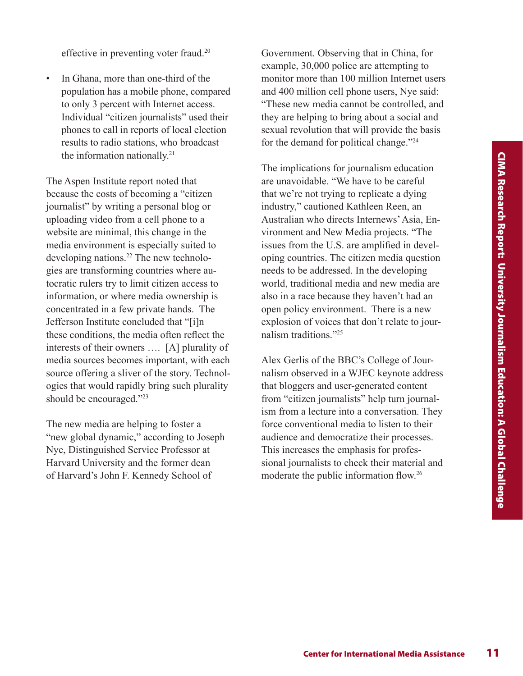effective in preventing voter fraud.20

In Ghana, more than one-third of the population has a mobile phone, compared to only 3 percent with Internet access. Individual "citizen journalists" used their phones to call in reports of local election results to radio stations, who broadcast the information nationally.21

The Aspen Institute report noted that because the costs of becoming a "citizen journalist" by writing a personal blog or uploading video from a cell phone to a website are minimal, this change in the media environment is especially suited to developing nations.<sup>22</sup> The new technologies are transforming countries where autocratic rulers try to limit citizen access to information, or where media ownership is concentrated in a few private hands. The Jefferson Institute concluded that "[i]n these conditions, the media often reflect the interests of their owners …. [A] plurality of media sources becomes important, with each source offering a sliver of the story. Technologies that would rapidly bring such plurality should be encouraged."23

The new media are helping to foster a "new global dynamic," according to Joseph Nye, Distinguished Service Professor at Harvard University and the former dean of Harvard's John F. Kennedy School of

Government. Observing that in China, for example, 30,000 police are attempting to monitor more than 100 million Internet users and 400 million cell phone users, Nye said: "These new media cannot be controlled, and they are helping to bring about a social and sexual revolution that will provide the basis for the demand for political change."24

ications for journalism education<br>
and idable. "We have to be careful<br>
cautioned Kathleen Recen, an<br>
n who directs Internews' Asia, En-<br>
and New Media projects. "The<br>
methe U.S. are amplified in devel-<br>
portions. The cuti The implications for journalism education are unavoidable. "We have to be careful that we're not trying to replicate a dying industry," cautioned Kathleen Reen, an Australian who directs Internews' Asia, Environment and New Media projects. "The issues from the U.S. are amplified in developing countries. The citizen media question needs to be addressed. In the developing world, traditional media and new media are also in a race because they haven't had an open policy environment. There is a new explosion of voices that don't relate to journalism traditions."25

Alex Gerlis of the BBC's College of Journalism observed in a WJEC keynote address that bloggers and user-generated content from "citizen journalists" help turn journalism from a lecture into a conversation. They force conventional media to listen to their audience and democratize their processes. This increases the emphasis for professional journalists to check their material and moderate the public information flow.26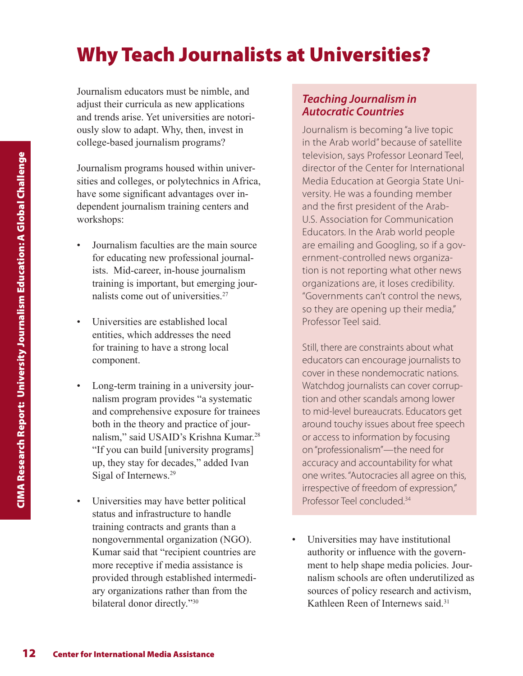### Why Teach Journalists at Universities?

Journalism educators must be nimble, and adjust their curricula as new applications and trends arise. Yet universities are notoriously slow to adapt. Why, then, invest in college-based journalism programs?

Journalism programs housed within universities and colleges, or polytechnics in Africa, have some significant advantages over independent journalism training centers and workshops:

- Journalism faculties are the main source for educating new professional journalists. Mid-career, in-house journalism training is important, but emerging journalists come out of universities.<sup>27</sup>
- Universities are established local entities, which addresses the need for training to have a strong local component.
- Long-term training in a university journalism program provides "a systematic and comprehensive exposure for trainees both in the theory and practice of journalism," said USAID's Krishna Kumar.28 "If you can build [university programs] up, they stay for decades," added Ivan Sigal of Internews.<sup>29</sup>
- University and controllation international Media Assistance Center for International Media Assistance Center for International Media Assistance CIMA Challenge CHALLENGE THE THAN RESEARCH THE THAN RESEARCH CHALLENGE CONTR • Universities may have better political status and infrastructure to handle training contracts and grants than a nongovernmental organization (NGO). Kumar said that "recipient countries are more receptive if media assistance is provided through established intermediary organizations rather than from the bilateral donor directly."30

#### *Teaching Journalism in Autocratic Countries*

Journalism is becoming "a live topic in the Arab world" because of satellite television, says Professor Leonard Teel, director of the Center for International Media Education at Georgia State University. He was a founding member and the first president of the Arab-U.S. Association for Communication Educators. In the Arab world people are emailing and Googling, so if a government-controlled news organization is not reporting what other news organizations are, it loses credibility. "Governments can't control the news, so they are opening up their media," Professor Teel said.

Still, there are constraints about what educators can encourage journalists to cover in these nondemocratic nations. Watchdog journalists can cover corruption and other scandals among lower to mid-level bureaucrats. Educators get around touchy issues about free speech or access to information by focusing on "professionalism"—the need for accuracy and accountability for what one writes. "Autocracies all agree on this, irrespective of freedom of expression," Professor Teel concluded.34

Universities may have institutional authority or influence with the government to help shape media policies. Journalism schools are often underutilized as sources of policy research and activism, Kathleen Reen of Internews said.<sup>31</sup>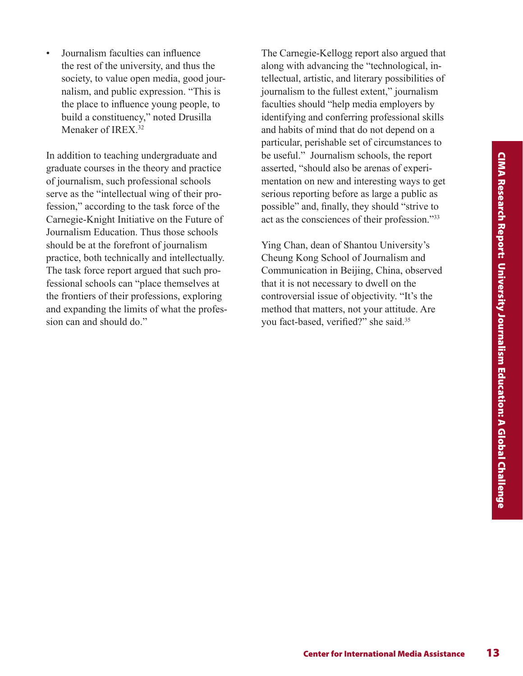• Journalism faculties can influence the rest of the university, and thus the society, to value open media, good journalism, and public expression. "This is the place to influence young people, to build a constituency," noted Drusilla Menaker of IREX.<sup>32</sup>

In addition to teaching undergraduate and graduate courses in the theory and practice of journalism, such professional schools serve as the "intellectual wing of their profession," according to the task force of the Carnegie-Knight Initiative on the Future of Journalism Education. Thus those schools should be at the forefront of journalism practice, both technically and intellectually. The task force report argued that such professional schools can "place themselves at the frontiers of their professions, exploring and expanding the limits of what the profession can and should do."

The Carnegie-Kellogg report also argued that along with advancing the "technological, intellectual, artistic, and literary possibilities of journalism to the fullest extent," journalism faculties should "help media employers by identifying and conferring professional skills and habits of mind that do not depend on a particular, perishable set of circumstances to be useful." Journalism schools, the report asserted, "should also be arenas of experimentation on new and interesting ways to get serious reporting before as large a public as possible" and, finally, they should "strive to act as the consciences of their profession."33

Thould also be acmos of experi-<br>
"Should also be acmos of experimental on new and interesting ways to get<br>porting before as large a public as<br>
and, finally, they should "strive to<br>
consciences of their profession."<sup>33</sup><br>
Co Ying Chan, dean of Shantou University's Cheung Kong School of Journalism and Communication in Beijing, China, observed that it is not necessary to dwell on the controversial issue of objectivity. "It's the method that matters, not your attitude. Are you fact-based, verified?" she said.35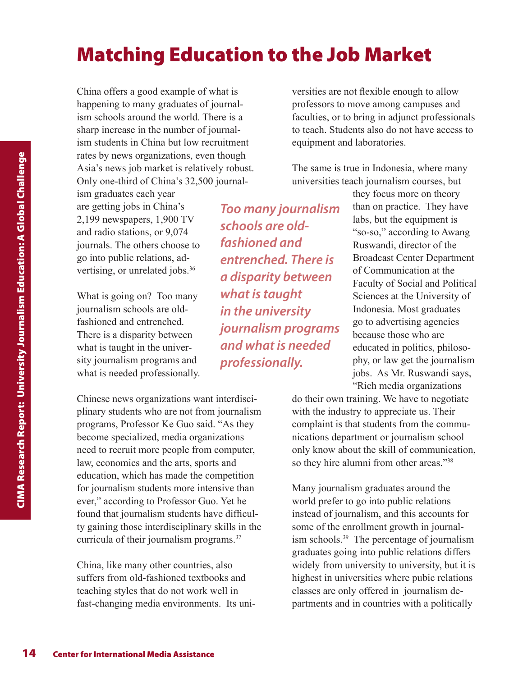### Matching Education to the Job Market

China offers a good example of what is happening to many graduates of journalism schools around the world. There is a sharp increase in the number of journalism students in China but low recruitment rates by news organizations, even though Asia's news job market is relatively robust. Only one-third of China's 32,500 journal-

ism graduates each year are getting jobs in China's 2,199 newspapers, 1,900 TV and radio stations, or 9,074 journals. The others choose to go into public relations, advertising, or unrelated jobs.<sup>36</sup>

What is going on? Too many journalism schools are oldfashioned and entrenched. There is a disparity between what is taught in the university journalism programs and what is needed professionally.

The two strained of the state of the state of the state of the state of the state of the state of the state of the state of the state of the state of the state of the state of the state of the state of the state of the sta Chinese news organizations want interdisciplinary students who are not from journalism programs, Professor Ke Guo said. "As they become specialized, media organizations need to recruit more people from computer, law, economics and the arts, sports and education, which has made the competition for journalism students more intensive than ever," according to Professor Guo. Yet he found that journalism students have difficulty gaining those interdisciplinary skills in the curricula of their journalism programs.37

China, like many other countries, also suffers from old-fashioned textbooks and teaching styles that do not work well in fast-changing media environments. Its universities are not flexible enough to allow professors to move among campuses and faculties, or to bring in adjunct professionals to teach. Students also do not have access to equipment and laboratories.

The same is true in Indonesia, where many universities teach journalism courses, but

*Too many journalism schools are oldfashioned and entrenched. There is a disparity between what is taught in the university journalism programs and what is needed professionally.* 

they focus more on theory than on practice. They have labs, but the equipment is "so-so," according to Awang Ruswandi, director of the Broadcast Center Department of Communication at the Faculty of Social and Political Sciences at the University of Indonesia. Most graduates go to advertising agencies because those who are educated in politics, philosophy, or law get the journalism jobs. As Mr. Ruswandi says, "Rich media organizations

do their own training. We have to negotiate with the industry to appreciate us. Their complaint is that students from the communications department or journalism school only know about the skill of communication, so they hire alumni from other areas."38

Many journalism graduates around the world prefer to go into public relations instead of journalism, and this accounts for some of the enrollment growth in journalism schools.<sup>39</sup> The percentage of journalism graduates going into public relations differs widely from university to university, but it is highest in universities where pubic relations classes are only offered in journalism departments and in countries with a politically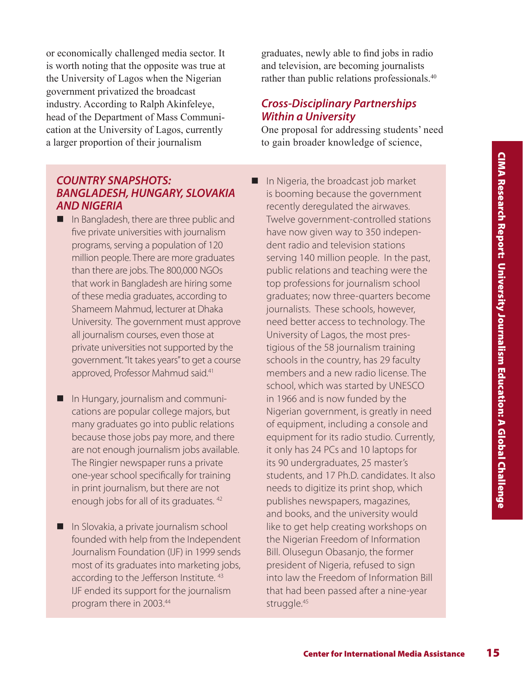or economically challenged media sector. It is worth noting that the opposite was true at the University of Lagos when the Nigerian government privatized the broadcast industry. According to Ralph Akinfeleye, head of the Department of Mass Communication at the University of Lagos, currently a larger proportion of their journalism

#### *COUNTRY SNAPSHOTS: BANGLADESH, HUNGARY, SLOVAKIA AND NIGERIA*

- $\blacksquare$  In Bangladesh, there are three public and five private universities with journalism programs, serving a population of 120 million people. There are more graduates than there are jobs. The 800,000 NGOs that work in Bangladesh are hiring some of these media graduates, according to Shameem Mahmud, lecturer at Dhaka University. The government must approve all journalism courses, even those at private universities not supported by the government. "It takes years" to get a course approved, Professor Mahmud said.41
- In Hungary, journalism and communications are popular college majors, but many graduates go into public relations because those jobs pay more, and there are not enough journalism jobs available. The Ringier newspaper runs a private one-year school specifically for training in print journalism, but there are not enough jobs for all of its graduates. 42
- $\blacksquare$  In Slovakia, a private journalism school founded with help from the Independent Journalism Foundation (IJF) in 1999 sends most of its graduates into marketing jobs, according to the Jefferson Institute. 43 IJF ended its support for the journalism program there in 2003.44

graduates, newly able to find jobs in radio and television, are becoming journalists rather than public relations professionals.<sup>40</sup>

#### *Cross-Disciplinary Partnerships Within a University*

One proposal for addressing students' need to gain broader knowledge of science,

ia, the broadcast job market<br>
deregulated the airwaves.<br>
Government-controlled stations<br>
sydyernment-controlled stations<br>
we yien way to 350 indepen-<br>
if o million people. In the past,<br>
Hand million people. In the past,<br>
e  $\blacksquare$  In Nigeria, the broadcast job market is booming because the government recently deregulated the airwaves. Twelve government-controlled stations have now given way to 350 independent radio and television stations serving 140 million people. In the past, public relations and teaching were the top professions for journalism school graduates; now three-quarters become journalists. These schools, however, need better access to technology. The University of Lagos, the most prestigious of the 58 journalism training schools in the country, has 29 faculty members and a new radio license. The school, which was started by UNESCO in 1966 and is now funded by the Nigerian government, is greatly in need of equipment, including a console and equipment for its radio studio. Currently, it only has 24 PCs and 10 laptops for its 90 undergraduates, 25 master's students, and 17 Ph.D. candidates. It also needs to digitize its print shop, which publishes newspapers, magazines, and books, and the university would like to get help creating workshops on the Nigerian Freedom of Information Bill. Olusegun Obasanjo, the former president of Nigeria, refused to sign into law the Freedom of Information Bill that had been passed after a nine-year struggle.<sup>45</sup>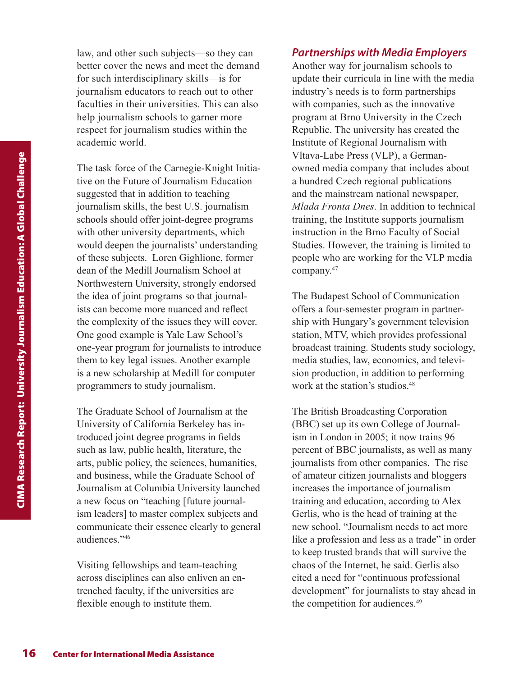law, and other such subjects—so they can better cover the news and meet the demand for such interdisciplinary skills—is for journalism educators to reach out to other faculties in their universities. This can also help journalism schools to garner more respect for journalism studies within the academic world.

The task force of the Carnegie-Kr<br>
tive on the Future of Journalism singugested that in addition to teach<br>
journalism skills, the best U.S. joi<br>
schools should defier joint-degree<br>
with other university departments<br>
would The task force of the Carnegie-Knight Initiative on the Future of Journalism Education suggested that in addition to teaching journalism skills, the best U.S. journalism schools should offer joint-degree programs with other university departments, which would deepen the journalists' understanding of these subjects. Loren Gighlione, former dean of the Medill Journalism School at Northwestern University, strongly endorsed the idea of joint programs so that journalists can become more nuanced and reflect the complexity of the issues they will cover. One good example is Yale Law School's one-year program for journalists to introduce them to key legal issues. Another example is a new scholarship at Medill for computer programmers to study journalism.

The Graduate School of Journalism at the University of California Berkeley has introduced joint degree programs in fields such as law, public health, literature, the arts, public policy, the sciences, humanities, and business, while the Graduate School of Journalism at Columbia University launched a new focus on "teaching [future journalism leaders] to master complex subjects and communicate their essence clearly to general audiences."46

Visiting fellowships and team-teaching across disciplines can also enliven an entrenched faculty, if the universities are flexible enough to institute them.

#### *Partnerships with Media Employers*

Another way for journalism schools to update their curricula in line with the media industry's needs is to form partnerships with companies, such as the innovative program at Brno University in the Czech Republic. The university has created the Institute of Regional Journalism with Vltava-Labe Press (VLP), a Germanowned media company that includes about a hundred Czech regional publications and the mainstream national newspaper, *Mlada Fronta Dnes*. In addition to technical training, the Institute supports journalism instruction in the Brno Faculty of Social Studies. However, the training is limited to people who are working for the VLP media company.47

The Budapest School of Communication offers a four-semester program in partnership with Hungary's government television station, MTV, which provides professional broadcast training. Students study sociology, media studies, law, economics, and television production, in addition to performing work at the station's studios.<sup>48</sup>

The British Broadcasting Corporation (BBC) set up its own College of Journalism in London in 2005; it now trains 96 percent of BBC journalists, as well as many journalists from other companies. The rise of amateur citizen journalists and bloggers increases the importance of journalism training and education, according to Alex Gerlis, who is the head of training at the new school. "Journalism needs to act more like a profession and less as a trade" in order to keep trusted brands that will survive the chaos of the Internet, he said. Gerlis also cited a need for "continuous professional development" for journalists to stay ahead in the competition for audiences.<sup>49</sup>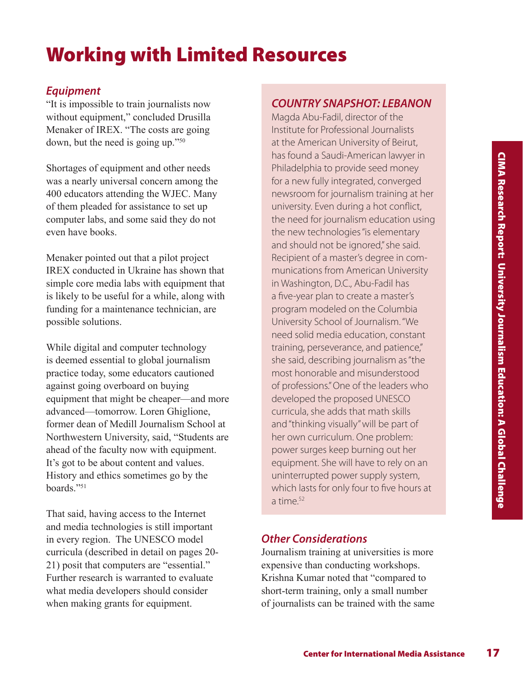## Working with Limited Resources

#### *Equipment*

"It is impossible to train journalists now without equipment," concluded Drusilla Menaker of IREX. "The costs are going down, but the need is going up."50

Shortages of equipment and other needs was a nearly universal concern among the 400 educators attending the WJEC. Many of them pleaded for assistance to set up computer labs, and some said they do not even have books.

Menaker pointed out that a pilot project IREX conducted in Ukraine has shown that simple core media labs with equipment that is likely to be useful for a while, along with funding for a maintenance technician, are possible solutions.

While digital and computer technology is deemed essential to global journalism practice today, some educators cautioned against going overboard on buying equipment that might be cheaper—and more advanced—tomorrow. Loren Ghiglione, former dean of Medill Journalism School at Northwestern University, said, "Students are ahead of the faculty now with equipment. It's got to be about content and values. History and ethics sometimes go by the boards."51

That said, having access to the Internet and media technologies is still important in every region. The UNESCO model curricula (described in detail on pages 20- 21) posit that computers are "essential." Further research is warranted to evaluate what media developers should consider when making grants for equipment.

#### *COUNTRY SNAPSHOT: LEBANON*

India Saudi-American lawyer in<br>
exploit to provide seed money<br>
we fully integrated, converged<br>
boom for journalism training at her conflict,<br>
tighty live during a hot conflict,<br>
ed for journalism education using<br>
we techno Magda Abu-Fadil, director of the Institute for Professional Journalists at the American University of Beirut, has found a Saudi-American lawyer in Philadelphia to provide seed money for a new fully integrated, converged newsroom for journalism training at her university. Even during a hot conflict, the need for journalism education using the new technologies "is elementary and should not be ignored," she said. Recipient of a master's degree in communications from American University in Washington, D.C., Abu-Fadil has a five-year plan to create a master's program modeled on the Columbia University School of Journalism. "We need solid media education, constant training, perseverance, and patience," she said, describing journalism as "the most honorable and misunderstood of professions." One of the leaders who developed the proposed UNESCO curricula, she adds that math skills and "thinking visually" will be part of her own curriculum. One problem: power surges keep burning out her equipment. She will have to rely on an uninterrupted power supply system, which lasts for only four to five hours at a time.52

#### *Other Considerations*

Journalism training at universities is more expensive than conducting workshops. Krishna Kumar noted that "compared to short-term training, only a small number of journalists can be trained with the same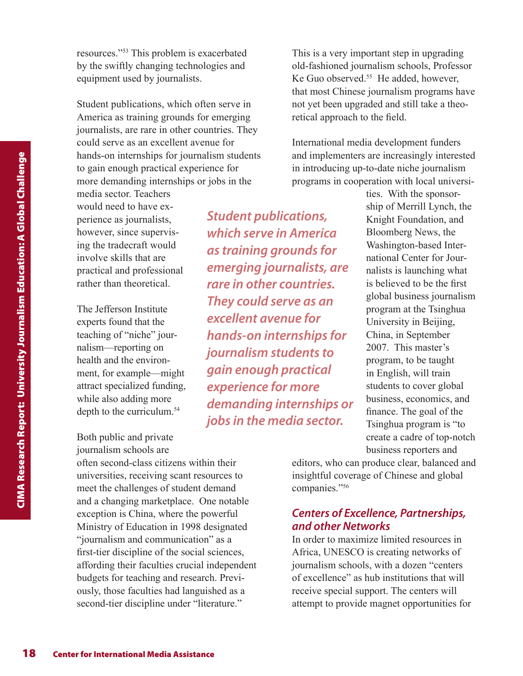resources."53 This problem is exacerbated by the swiftly changing technologies and equipment used by journalists.

Student publications, which often serve in America as training grounds for emerging journalists, are rare in other countries. They could serve as an excellent avenue for hands-on internships for journalism students to gain enough practical experience for more demanding internships or jobs in the

> *Student publications, which serve in America*

> *as training grounds for*

*rare in other countries.* 

*They could serve as an* 

*hands-on internships for* 

*demanding internships or* 

*jobs in the media sector.* 

*journalism students to* 

*gain enough practical* 

*experience for more* 

*excellent avenue for* 

*emerging journalists, are* 

media sector. Teachers would need to have experience as journalists, however, since supervising the tradecraft would involve skills that are practical and professional rather than theoretical.

The Jefferson Institute experts found that the teaching of "niche" journalism—reporting on health and the environment, for example—might attract specialized funding, while also adding more depth to the curriculum.54

Both public and private journalism schools are

**Example 18 Center for International Media Assistance**<br> **18 Center for International Media Assistance Assignments** on the spectrome of the spectrome as journalism, solved involve skills that are practical and professional often second-class citizens within their universities, receiving scant resources to meet the challenges of student demand and a changing marketplace. One notable exception is China, where the powerful Ministry of Education in 1998 designated "journalism and communication" as a first-tier discipline of the social sciences, affording their faculties crucial independent budgets for teaching and research. Previously, those faculties had languished as a second-tier discipline under "literature."

This is a very important step in upgrading old-fashioned journalism schools, Professor Ke Guo observed.<sup>55</sup> He added, however, that most Chinese journalism programs have not yet been upgraded and still take a theoretical approach to the field.

International media development funders and implementers are increasingly interested in introducing up-to-date niche journalism programs in cooperation with local universi-

> ties. With the sponsorship of Merrill Lynch, the Knight Foundation, and Bloomberg News, the Washington-based International Center for Journalists is launching what is believed to be the first global business journalism program at the Tsinghua University in Beijing, China, in September 2007. This master's program, to be taught in English, will train students to cover global business, economics, and finance. The goal of the Tsinghua program is "to create a cadre of top-notch business reporters and

editors, who can produce clear, balanced and insightful coverage of Chinese and global companies."56

#### *Centers of Excellence, Partnerships, and other Networks*

In order to maximize limited resources in Africa, UNESCO is creating networks of journalism schools, with a dozen "centers of excellence" as hub institutions that will receive special support. The centers will attempt to provide magnet opportunities for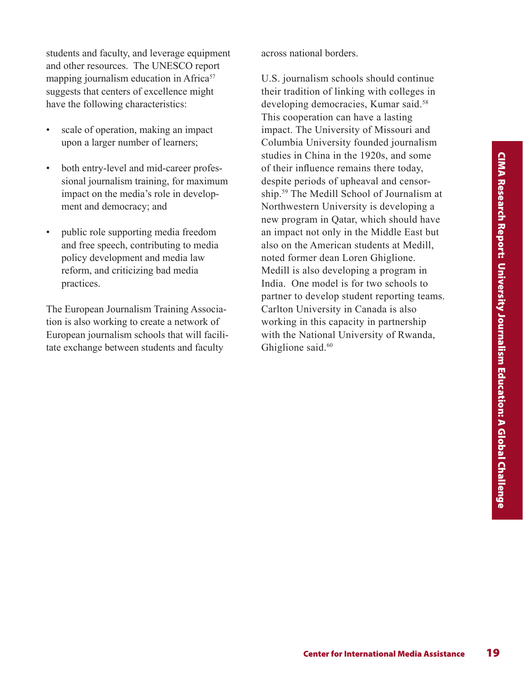students and faculty, and leverage equipment and other resources. The UNESCO report mapping journalism education in Africa<sup>57</sup> suggests that centers of excellence might have the following characteristics:

- scale of operation, making an impact upon a larger number of learners;
- both entry-level and mid-career professional journalism training, for maximum impact on the media's role in development and democracy; and
- public role supporting media freedom and free speech, contributing to media policy development and media law reform, and criticizing bad media practices.

The European Journalism Training Association is also working to create a network of European journalism schools that will facilitate exchange between students and faculty

across national borders.

Center for International Media Assistance<br>Center for International Media Association<br>
The Center University is developing a<br>
ratem University is developing a<br>
ratem of Output the Middle East but<br>
the American students at M U.S. journalism schools should continue their tradition of linking with colleges in developing democracies, Kumar said.<sup>58</sup> This cooperation can have a lasting impact. The University of Missouri and Columbia University founded journalism studies in China in the 1920s, and some of their influence remains there today, despite periods of upheaval and censorship.59 The Medill School of Journalism at Northwestern University is developing a new program in Qatar, which should have an impact not only in the Middle East but also on the American students at Medill, noted former dean Loren Ghiglione. Medill is also developing a program in India. One model is for two schools to partner to develop student reporting teams. Carlton University in Canada is also working in this capacity in partnership with the National University of Rwanda, Ghiglione said.<sup>60</sup>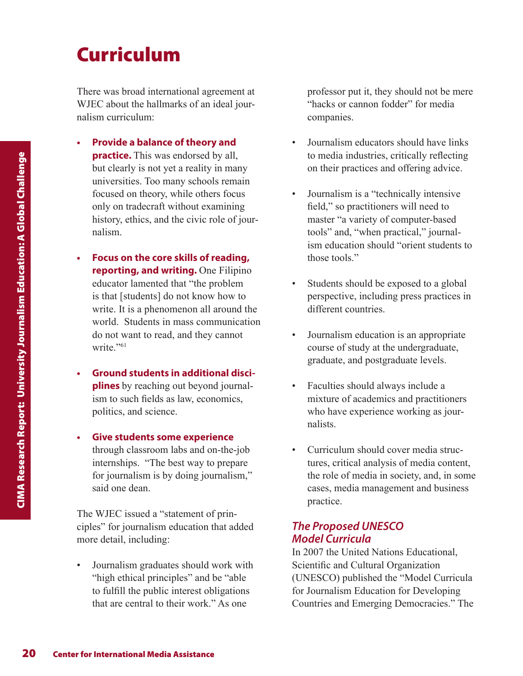### Curriculum

There was broad international agreement at WJEC about the hallmarks of an ideal journalism curriculum:

- **• Provide a balance of theory and practice.** This was endorsed by all, but clearly is not yet a reality in many universities. Too many schools remain focused on theory, while others focus only on tradecraft without examining history, ethics, and the civic role of journalism.
- Practice. This was endorsed<br>but clearly is not yet a reality<br>universities. Too many school<br>focused on theory, while other<br>only on tradecraft without exa<br>instory, ethics, and the civic re<br>alisany, ethics, and the civic repo **• Focus on the core skills of reading, reporting, and writing.** One Filipino educator lamented that "the problem is that [students] do not know how to write. It is a phenomenon all around the world. Students in mass communication do not want to read, and they cannot write."<sup>61</sup>
	- **• Ground students in additional disciplines** by reaching out beyond journalism to such fields as law, economics, politics, and science.
	- **• Give students some experience** through classroom labs and on-the-job internships. "The best way to prepare for journalism is by doing journalism," said one dean.

The WJEC issued a "statement of principles" for journalism education that added more detail, including:

• Journalism graduates should work with "high ethical principles" and be "able to fulfill the public interest obligations that are central to their work." As one

professor put it, they should not be mere "hacks or cannon fodder" for media companies.

- Journalism educators should have links to media industries, critically reflecting on their practices and offering advice.
- Journalism is a "technically intensive field," so practitioners will need to master "a variety of computer-based tools" and, "when practical," journalism education should "orient students to those tools."
- Students should be exposed to a global perspective, including press practices in different countries.
- Journalism education is an appropriate course of study at the undergraduate, graduate, and postgraduate levels.
- Faculties should always include a mixture of academics and practitioners who have experience working as journalists.
- Curriculum should cover media structures, critical analysis of media content, the role of media in society, and, in some cases, media management and business practice.

#### *The Proposed UNESCO Model Curricula*

In 2007 the United Nations Educational, Scientific and Cultural Organization (UNESCO) published the "Model Curricula for Journalism Education for Developing Countries and Emerging Democracies." The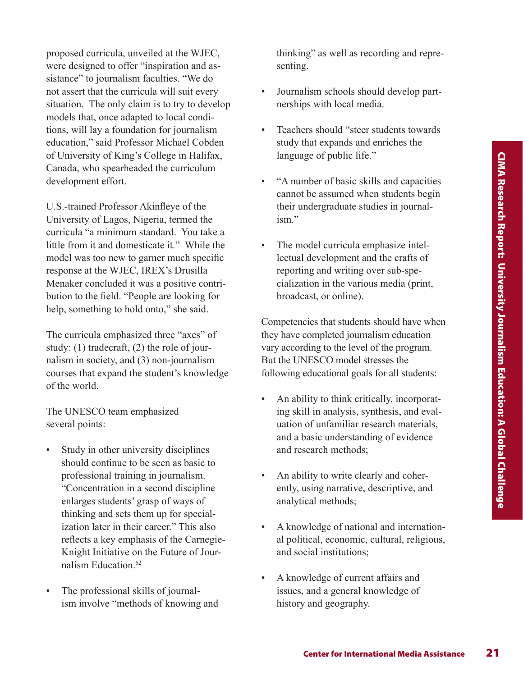proposed curricula, unveiled at the WJEC, were designed to offer "inspiration and assistance" to journalism faculties. "We do not assert that the curricula will suit every situation. The only claim is to try to develop models that, once adapted to local conditions, will lay a foundation for journalism education," said Professor Michael Cobden of University of King's College in Halifax, Canada, who spearheaded the curriculum development effort.

U.S.-trained Professor Akinfleye of the University of Lagos, Nigeria, termed the curricula "a minimum standard. You take a little from it and domesticate it." While the model was too new to garner much specific response at the WJEC, IREX's Drusilla Menaker concluded it was a positive contribution to the field. "People are looking for help, something to hold onto," she said.

The curricula emphasized three "axes" of study: (1) tradecraft, (2) the role of journalism in society, and (3) non-journalism courses that expand the student's knowledge of the world.

The UNESCO team emphasized several points:

- Study in other university disciplines should continue to be seen as basic to professional training in journalism. "Concentration in a second discipline enlarges students' grasp of ways of thinking and sets them up for specialization later in their career." This also reflects a key emphasis of the Carnegie-Knight Initiative on the Future of Journalism Education<sup>62</sup>
- The professional skills of journalism involve "methods of knowing and

thinking" as well as recording and representing.

- Journalism schools should develop partnerships with local media.
- Teachers should "steer students towards study that expands and enriches the language of public life."
- "A number of basic skills and capacities cannot be assumed when students begin their undergraduate studies in journalism"
- The model curricula emphasize intellectual development and the crafts of reporting and writing over sub-specialization in the various media (print, broadcast, or online).

age of public life."<br>
External Media Assistance and capacities<br>
be assumed when students begin<br>
and<br>
and archiversity internation<br>
and writing over sub-spec-<br>
ation in the various media (print,<br>
cast, or online).<br>
Access t Competencies that students should have when they have completed journalism education vary according to the level of the program. But the UNESCO model stresses the following educational goals for all students:

- An ability to think critically, incorporating skill in analysis, synthesis, and evaluation of unfamiliar research materials, and a basic understanding of evidence and research methods;
- An ability to write clearly and coherently, using narrative, descriptive, and analytical methods;
- A knowledge of national and international political, economic, cultural, religious, and social institutions;
- A knowledge of current affairs and issues, and a general knowledge of history and geography.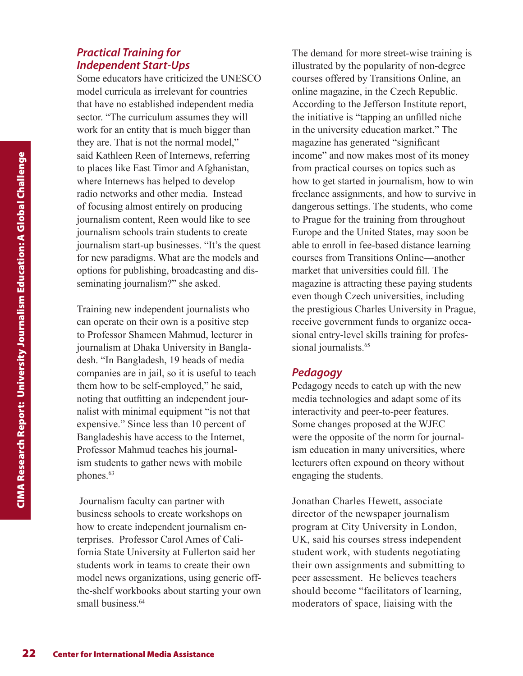#### *Practical Training for Independent Start-Ups*

Some educators have criticized the UNESCO model curricula as irrelevant for countries that have no established independent media sector. "The curriculum assumes they will work for an entity that is much bigger than they are. That is not the normal model," said Kathleen Reen of Internews, referring to places like East Timor and Afghanistan, where Internews has helped to develop radio networks and other media. Instead of focusing almost entirely on producing journalism content, Reen would like to see journalism schools train students to create journalism start-up businesses. "It's the quest for new paradigms. What are the models and options for publishing, broadcasting and disseminating journalism?" she asked.

32 Sand Kathleen Reen of Internews,<br>to places like East Timor and Afgle and the reducation of focusing almost entirely on pro<br>journalism content, Reen would life international form of internation<br>in the simulation of the Training new independent journalists who can operate on their own is a positive step to Professor Shameen Mahmud, lecturer in journalism at Dhaka University in Bangladesh. "In Bangladesh, 19 heads of media companies are in jail, so it is useful to teach them how to be self-employed," he said, noting that outfitting an independent journalist with minimal equipment "is not that expensive." Since less than 10 percent of Bangladeshis have access to the Internet, Professor Mahmud teaches his journalism students to gather news with mobile phones.<sup>63</sup>

 Journalism faculty can partner with business schools to create workshops on how to create independent journalism enterprises. Professor Carol Ames of California State University at Fullerton said her students work in teams to create their own model news organizations, using generic offthe-shelf workbooks about starting your own small business<sup>64</sup>

The demand for more street-wise training is illustrated by the popularity of non-degree courses offered by Transitions Online, an online magazine, in the Czech Republic. According to the Jefferson Institute report, the initiative is "tapping an unfilled niche in the university education market." The magazine has generated "significant income" and now makes most of its money from practical courses on topics such as how to get started in journalism, how to win freelance assignments, and how to survive in dangerous settings. The students, who come to Prague for the training from throughout Europe and the United States, may soon be able to enroll in fee-based distance learning courses from Transitions Online—another market that universities could fill. The magazine is attracting these paying students even though Czech universities, including the prestigious Charles University in Prague, receive government funds to organize occasional entry-level skills training for professional journalists.<sup>65</sup>

#### *Pedagogy*

Pedagogy needs to catch up with the new media technologies and adapt some of its interactivity and peer-to-peer features. Some changes proposed at the WJEC were the opposite of the norm for journalism education in many universities, where lecturers often expound on theory without engaging the students.

Jonathan Charles Hewett, associate director of the newspaper journalism program at City University in London, UK, said his courses stress independent student work, with students negotiating their own assignments and submitting to peer assessment. He believes teachers should become "facilitators of learning, moderators of space, liaising with the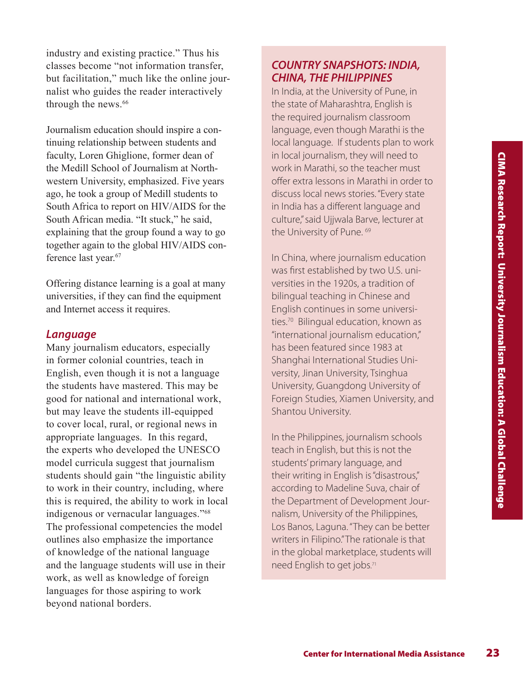industry and existing practice." Thus his classes become "not information transfer, but facilitation," much like the online journalist who guides the reader interactively through the news.<sup>66</sup>

Journalism education should inspire a continuing relationship between students and faculty, Loren Ghiglione, former dean of the Medill School of Journalism at Northwestern University, emphasized. Five years ago, he took a group of Medill students to South Africa to report on HIV/AIDS for the South African media. "It stuck," he said, explaining that the group found a way to go together again to the global HIV/AIDS conference last year.<sup>67</sup>

Offering distance learning is a goal at many universities, if they can find the equipment and Internet access it requires.

#### *Language*

Many journalism educators, especially in former colonial countries, teach in English, even though it is not a language the students have mastered. This may be good for national and international work, but may leave the students ill-equipped to cover local, rural, or regional news in appropriate languages. In this regard, the experts who developed the UNESCO model curricula suggest that journalism students should gain "the linguistic ability to work in their country, including, where this is required, the ability to work in local indigenous or vernacular languages."68 The professional competencies the model outlines also emphasize the importance of knowledge of the national language and the language students will use in their work, as well as knowledge of foreign languages for those aspiring to work beyond national borders.

#### *COUNTRY SNAPSHOTS: INDIA, CHINA, THE PHILIPPINES*

In India, at the University of Pune, in the state of Maharashtra, English is the required journalism classroom language, even though Marathi is the local language. If students plan to work in local journalism, they will need to work in Marathi, so the teacher must offer extra lessons in Marathi in order to discuss local news stories. "Every state in India has a different language and culture," said Ujjwala Barve, lecturer at the University of Pune. <sup>69</sup>

Center for the teacher mation of the teacher must<br>
Marahi, so the teacher manuage and<br>
that also now stories. "Every state<br>
to local news stories. "Every state<br>
with as a different language and<br>
with  $\frac{1}{2}$ , and Uljival In China, where journalism education was first established by two U.S. universities in the 1920s, a tradition of bilingual teaching in Chinese and English continues in some universities.<sup>70</sup> Bilingual education, known as "international journalism education," has been featured since 1983 at Shanghai International Studies University, Jinan University, Tsinghua University, Guangdong University of Foreign Studies, Xiamen University, and Shantou University.

In the Philippines, journalism schools teach in English, but this is not the students' primary language, and their writing in English is "disastrous," according to Madeline Suva, chair of the Department of Development Journalism, University of the Philippines, Los Banos, Laguna. "They can be better writers in Filipino." The rationale is that in the global marketplace, students will need English to get jobs. 71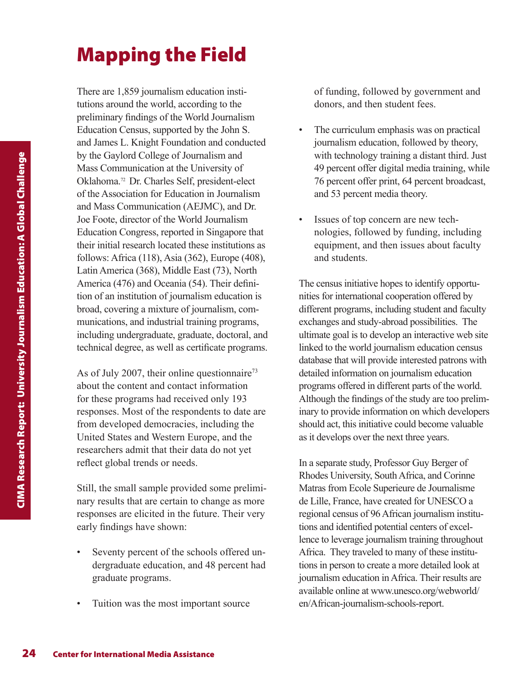### Mapping the Field

by the Gaylord College of Journalism and European College of Journalism and Mass Communication for Education in and Mass Communication (AEJM Joe Foote, director of the World Journalism Education Congress, reported in Site There are 1,859 journalism education institutions around the world, according to the preliminary findings of the World Journalism Education Census, supported by the John S. and James L. Knight Foundation and conducted by the Gaylord College of Journalism and Mass Communication at the University of Oklahoma.72 Dr. Charles Self, president-elect of the Association for Education in Journalism and Mass Communication (AEJMC), and Dr. Joe Foote, director of the World Journalism Education Congress, reported in Singapore that their initial research located these institutions as follows: Africa (118), Asia (362), Europe (408), Latin America (368), Middle East (73), North America (476) and Oceania (54). Their definition of an institution of journalism education is broad, covering a mixture of journalism, communications, and industrial training programs, including undergraduate, graduate, doctoral, and technical degree, as well as certificate programs.

As of July 2007, their online questionnaire<sup>73</sup> about the content and contact information for these programs had received only 193 responses. Most of the respondents to date are from developed democracies, including the United States and Western Europe, and the researchers admit that their data do not yet reflect global trends or needs.

Still, the small sample provided some preliminary results that are certain to change as more responses are elicited in the future. Their very early findings have shown:

- Seventy percent of the schools offered undergraduate education, and 48 percent had graduate programs.
- Tuition was the most important source

of funding, followed by government and donors, and then student fees.

- The curriculum emphasis was on practical journalism education, followed by theory, with technology training a distant third. Just 49 percent offer digital media training, while 76 percent offer print, 64 percent broadcast, and 53 percent media theory.
- Issues of top concern are new technologies, followed by funding, including equipment, and then issues about faculty and students.

The census initiative hopes to identify opportunities for international cooperation offered by different programs, including student and faculty exchanges and study-abroad possibilities. The ultimate goal is to develop an interactive web site linked to the world journalism education census database that will provide interested patrons with detailed information on journalism education programs offered in different parts of the world. Although the findings of the study are too preliminary to provide information on which developers should act, this initiative could become valuable as it develops over the next three years.

In a separate study, Professor Guy Berger of Rhodes University, South Africa, and Corinne Matras from Ecole Superieure de Journalisme de Lille, France, have created for UNESCO a regional census of 96 African journalism institutions and identified potential centers of excellence to leverage journalism training throughout Africa. They traveled to many of these institutions in person to create a more detailed look at journalism education in Africa. Their results are available online at www.unesco.org/webworld/ en/African-journalism-schools-report.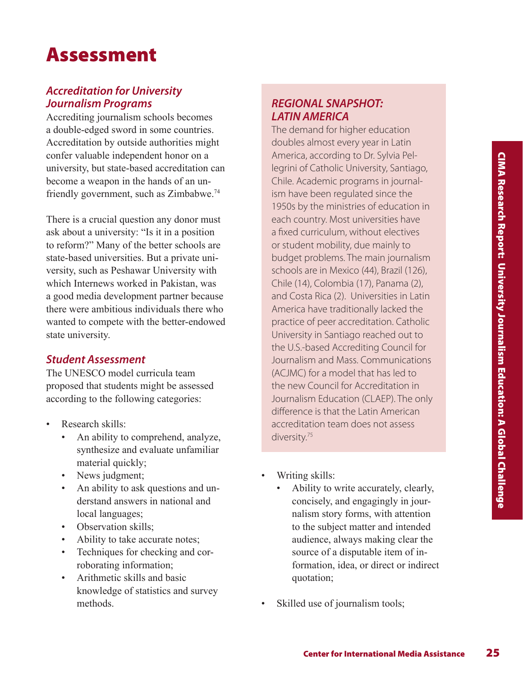### Assessment

#### *Accreditation for University Journalism Programs*

Accrediting journalism schools becomes a double-edged sword in some countries. Accreditation by outside authorities might confer valuable independent honor on a university, but state-based accreditation can become a weapon in the hands of an unfriendly government, such as Zimbabwe.74

There is a crucial question any donor must ask about a university: "Is it in a position to reform?" Many of the better schools are state-based universities. But a private university, such as Peshawar University with which Internews worked in Pakistan, was a good media development partner because there were ambitious individuals there who wanted to compete with the better-endowed state university.

#### *Student Assessment*

The UNESCO model curricula team proposed that students might be assessed according to the following categories:

- Research skills:
	- An ability to comprehend, analyze, synthesize and evaluate unfamiliar material quickly;
	- News judgment;
	- An ability to ask questions and understand answers in national and local languages;
	- Observation skills;
	- Ability to take accurate notes;
	- Techniques for checking and corroborating information;
	- Arithmetic skills and basic knowledge of statistics and survey methods.

#### *REGIONAL SNAPSHOT: LATIN AMERICA*

Centration control is a contributed internation of Catholic University, Santiago, or A centre regulated since the control of During the political Media Control of During the political Search Control of Purolens. The main j The demand for higher education doubles almost every year in Latin America, according to Dr. Sylvia Pellegrini of Catholic University, Santiago, Chile. Academic programs in journalism have been regulated since the 1950s by the ministries of education in each country. Most universities have a fixed curriculum, without electives or student mobility, due mainly to budget problems. The main journalism schools are in Mexico (44), Brazil (126), Chile (14), Colombia (17), Panama (2), and Costa Rica (2). Universities in Latin America have traditionally lacked the practice of peer accreditation. Catholic University in Santiago reached out to the U.S.-based Accrediting Council for Journalism and Mass. Communications (ACJMC) for a model that has led to the new Council for Accreditation in Journalism Education (CLAEP). The only difference is that the Latin American accreditation team does not assess diversity.<sup>75</sup>

- Writing skills:
	- Ability to write accurately, clearly, concisely, and engagingly in journalism story forms, with attention to the subject matter and intended audience, always making clear the source of a disputable item of information, idea, or direct or indirect quotation;
- Skilled use of journalism tools;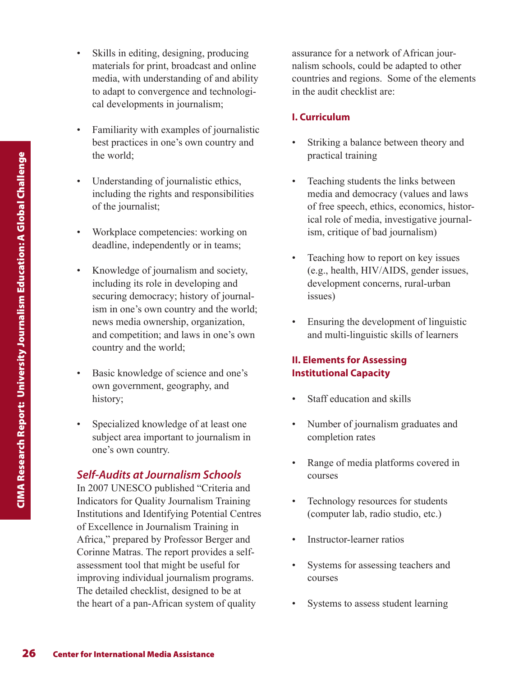- Skills in editing, designing, producing materials for print, broadcast and online media, with understanding of and ability to adapt to convergence and technological developments in journalism;
- Familiarity with examples of journalistic best practices in one's own country and the world;
- Understanding of journalistic ethics, including the rights and responsibilities of the journalist;
- Workplace competencies: working on deadline, independently or in teams;
- Knowledge of journalism and society, including its role in developing and securing democracy; history of journalism in one's own country and the world; news media ownership, organization, and competition; and laws in one's own country and the world;
- Basic knowledge of science and one's own government, geography, and history;
- Specialized knowledge of at least one subject area important to journalism in one's own country.

#### *Self-Audits at Journalism Schools*

26 Center for International Media Assistance<br>
26 Center for International Media Assistance<br>
26 Center for International Media Assistance<br>
26 Center for International Media Assistance<br>
26 Center for International Media Assi In 2007 UNESCO published "Criteria and Indicators for Quality Journalism Training Institutions and Identifying Potential Centres of Excellence in Journalism Training in Africa," prepared by Professor Berger and Corinne Matras. The report provides a selfassessment tool that might be useful for improving individual journalism programs. The detailed checklist, designed to be at the heart of a pan-African system of quality

assurance for a network of African journalism schools, could be adapted to other countries and regions. Some of the elements in the audit checklist are:

#### **I. Curriculum**

- Striking a balance between theory and practical training
- Teaching students the links between media and democracy (values and laws of free speech, ethics, economics, historical role of media, investigative journalism, critique of bad journalism)
- Teaching how to report on key issues (e.g., health, HIV/AIDS, gender issues, development concerns, rural-urban issues)
- Ensuring the development of linguistic and multi-linguistic skills of learners

#### **II. Elements for Assessing Institutional Capacity**

- Staff education and skills
- Number of journalism graduates and completion rates
- Range of media platforms covered in courses
- Technology resources for students (computer lab, radio studio, etc.)
- Instructor-learner ratios
- Systems for assessing teachers and courses
- Systems to assess student learning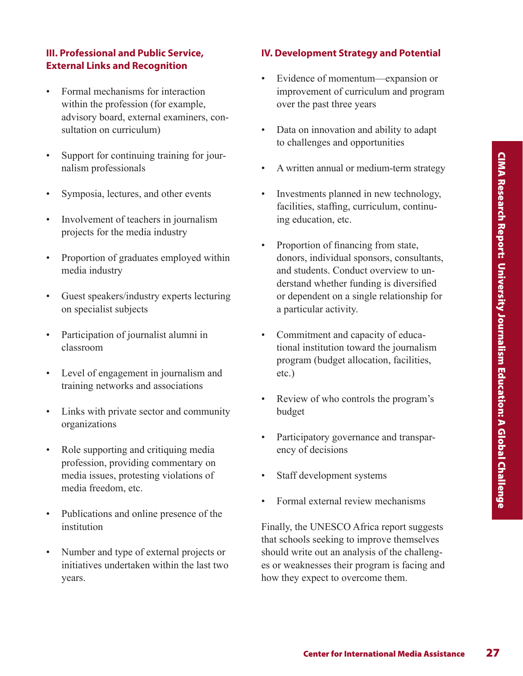#### **III. Professional and Public Service, External Links and Recognition**

- Formal mechanisms for interaction within the profession (for example, advisory board, external examiners, consultation on curriculum)
- Support for continuing training for journalism professionals
- Symposia, lectures, and other events
- Involvement of teachers in journalism projects for the media industry
- Proportion of graduates employed within media industry
- Guest speakers/industry experts lecturing on specialist subjects
- Participation of journalist alumni in classroom
- Level of engagement in journalism and training networks and associations
- Links with private sector and community organizations
- Role supporting and critiquing media profession, providing commentary on media issues, protesting violations of media freedom, etc.
- Publications and online presence of the institution
- Number and type of external projects or initiatives undertaken within the last two years.

#### **IV. Development Strategy and Potential**

- Evidence of momentum—expansion or improvement of curriculum and program over the past three years
- Data on innovation and ability to adapt to challenges and opportunities
- A written annual or medium-term strategy
- Investments planned in new technology, facilities, staffing, curriculum, continuing education, etc.
- then annual or medium-term strategy<br>
thrents planned in new technology,<br>
standing, curriculum, continu-<br>
thetation, etc.<br>
standing from state,<br>
standing from state,<br>
standing is diversified<br>
endent on a single relationship • Proportion of financing from state, donors, individual sponsors, consultants, and students. Conduct overview to understand whether funding is diversified or dependent on a single relationship for a particular activity.
- Commitment and capacity of educational institution toward the journalism program (budget allocation, facilities, etc.)
- Review of who controls the program's budget
- Participatory governance and transparency of decisions
- Staff development systems
- Formal external review mechanisms

Finally, the UNESCO Africa report suggests that schools seeking to improve themselves should write out an analysis of the challenges or weaknesses their program is facing and how they expect to overcome them.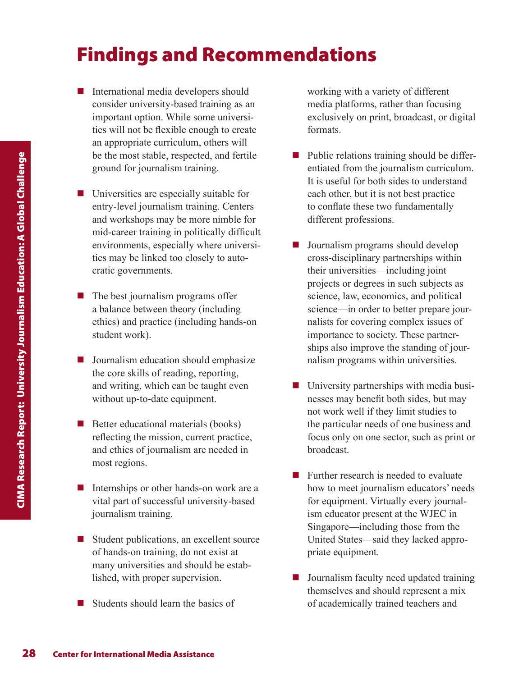### Findings and Recommendations

- $\blacksquare$  International media developers should consider university-based training as an important option. While some universities will not be flexible enough to create an appropriate curriculum, others will be the most stable, respected, and fertile ground for journalism training.
- Bending the most stable, respected, ground for journalism training and workshops may be more tinding in political environments, especially where the more inversions. The best journalism programs a balance between theory (  $\blacksquare$  Universities are especially suitable for entry-level journalism training. Centers and workshops may be more nimble for mid-career training in politically difficult environments, especially where universities may be linked too closely to autocratic governments.
	- $\blacksquare$  The best journalism programs offer a balance between theory (including ethics) and practice (including hands-on student work).
	- $\blacksquare$  Journalism education should emphasize the core skills of reading, reporting, and writing, which can be taught even without up-to-date equipment.
	- $\blacksquare$  Better educational materials (books) reflecting the mission, current practice, and ethics of journalism are needed in most regions.
	- $\blacksquare$  Internships or other hands-on work are a vital part of successful university-based journalism training.
	- $\blacksquare$  Student publications, an excellent source of hands-on training, do not exist at many universities and should be established, with proper supervision.
	- Students should learn the basics of

working with a variety of different media platforms, rather than focusing exclusively on print, broadcast, or digital formats.

- $\blacksquare$  Public relations training should be differentiated from the journalism curriculum. It is useful for both sides to understand each other, but it is not best practice to conflate these two fundamentally different professions.
- $\blacksquare$  Journalism programs should develop cross-disciplinary partnerships within their universities—including joint projects or degrees in such subjects as science, law, economics, and political science—in order to better prepare journalists for covering complex issues of importance to society. These partnerships also improve the standing of journalism programs within universities.
- $\blacksquare$  University partnerships with media businesses may benefit both sides, but may not work well if they limit studies to the particular needs of one business and focus only on one sector, such as print or broadcast.
- $\blacksquare$  Further research is needed to evaluate how to meet journalism educators' needs for equipment. Virtually every journalism educator present at the WJEC in Singapore—including those from the United States—said they lacked appropriate equipment.
- $\blacksquare$  Journalism faculty need updated training themselves and should represent a mix of academically trained teachers and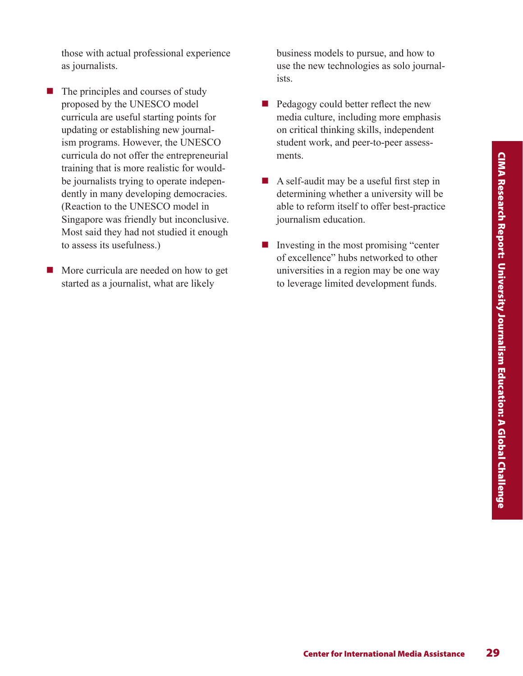those with actual professional experience as journalists.

- $\blacksquare$  The principles and courses of study proposed by the UNESCO model curricula are useful starting points for updating or establishing new journalism programs. However, the UNESCO curricula do not offer the entrepreneurial training that is more realistic for wouldbe journalists trying to operate independently in many developing democracies. (Reaction to the UNESCO model in Singapore was friendly but inconclusive. Most said they had not studied it enough to assess its usefulness.)
- n More curricula are needed on how to get started as a journalist, what are likely

business models to pursue, and how to use the new technologies as solo journalists.

- $\blacksquare$  Pedagogy could better reflect the new media culture, including more emphasis on critical thinking skills, independent student work, and peer-to-peer assessments.
- S.<br>
Faudit may be a useful first step in<br>
mining whether a university will be<br>
or coronnisting "center"<br>
this in change in the most promising "center<br>
residence" hubs networked to other<br>
resides in a region may be one way<br>  $\blacksquare$  A self-audit may be a useful first step in determining whether a university will be able to reform itself to offer best-practice journalism education.
- $\blacksquare$  Investing in the most promising "center of excellence" hubs networked to other universities in a region may be one way to leverage limited development funds.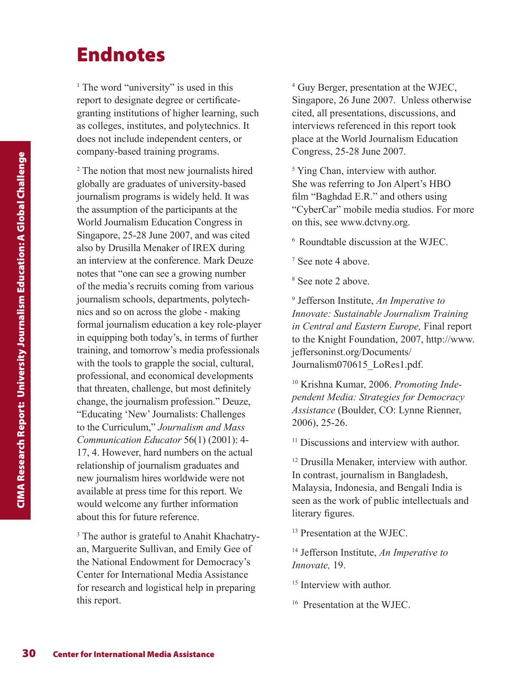### Endnotes

<sup>1</sup> The word "university" is used in this report to designate degree or certificategranting institutions of higher learning, such as colleges, institutes, and polytechnics. It does not include independent centers, or company-based training programs.

30 Center for International Media Assistance Content The National Media Assistance Content Contents Contents (internation Contents Contents) also by Drusilla Menaker of REEX an interview at the conference. Mando Challenge <sup>2</sup> The notion that most new journalists hired globally are graduates of university-based journalism programs is widely held. It was the assumption of the participants at the World Journalism Education Congress in Singapore, 25-28 June 2007, and was cited also by Drusilla Menaker of IREX during an interview at the conference. Mark Deuze notes that "one can see a growing number of the media's recruits coming from various journalism schools, departments, polytechnics and so on across the globe - making formal journalism education a key role-player in equipping both today's, in terms of further training, and tomorrow's media professionals with the tools to grapple the social, cultural, professional, and economical developments that threaten, challenge, but most definitely change, the journalism profession." Deuze, "Educating 'New' Journalists: Challenges to the Curriculum," *Journalism and Mass Communication Educator* 56(1) (2001): 4- 17, 4. However, hard numbers on the actual relationship of journalism graduates and new journalism hires worldwide were not available at press time for this report. We would welcome any further information about this for future reference.

<sup>3</sup> The author is grateful to Anahit Khachatryan, Marguerite Sullivan, and Emily Gee of the National Endowment for Democracy's Center for International Media Assistance for research and logistical help in preparing this report.

4 Guy Berger, presentation at the WJEC, Singapore, 26 June 2007. Unless otherwise cited, all presentations, discussions, and interviews referenced in this report took place at the World Journalism Education Congress, 25-28 June 2007.

<sup>5</sup> Ying Chan, interview with author. She was referring to Jon Alpert's HBO film "Baghdad E.R." and others using "CyberCar" mobile media studios. For more on this, see www.dctvny.org.

6 Roundtable discussion at the WJEC.

7 See note 4 above.

8 See note 2 above.

9 Jefferson Institute, *An Imperative to Innovate: Sustainable Journalism Training in Central and Eastern Europe,* Final report to the Knight Foundation, 2007, http://www. jeffersoninst.org/Documents/ Journalism070615\_LoRes1.pdf.

10 Krishna Kumar, 2006. *Promoting Independent Media: Strategies for Democracy Assistance* (Boulder, CO: Lynne Rienner, 2006), 25-26.

 $11$  Discussions and interview with author.

<sup>12</sup> Drusilla Menaker, interview with author. In contrast, journalism in Bangladesh, Malaysia, Indonesia, and Bengali India is seen as the work of public intellectuals and literary figures.

13 Presentation at the WJEC.

14 Jefferson Institute, *An Imperative to Innovate,* 19.

<sup>15</sup> Interview with author.

16 Presentation at the WJEC.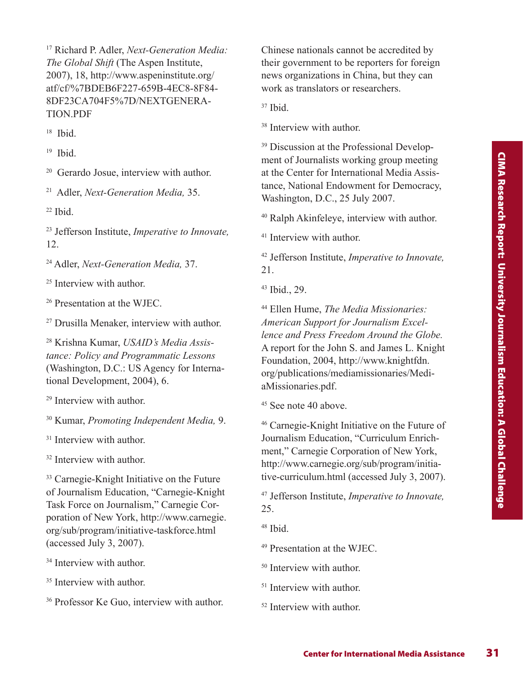17 Richard P. Adler, *Next-Generation Media: The Global Shift* (The Aspen Institute, 2007), 18, http://www.aspeninstitute.org/ atf/cf/%7BDEB6F227-659B-4EC8-8F84- 8DF23CA704F5%7D/NEXTGENERA-TION.PDF

 $18$  Ibid.

 $19$  Ibid.

20 Gerardo Josue, interview with author.

21 Adler, *Next-Generation Media,* 35.

 $22$  Ibid.

23 Jefferson Institute, *Imperative to Innovate,*  12.

24 Adler, *Next-Generation Media,* 37.

<sup>25</sup> Interview with author.

26 Presentation at the WJEC.

27 Drusilla Menaker, interview with author.

28 Krishna Kumar, *USAID's Media Assistance: Policy and Programmatic Lessons*  (Washington, D.C.: US Agency for International Development, 2004), 6.

29 Interview with author.

30 Kumar, *Promoting Independent Media,* 9.

<sup>31</sup> Interview with author.

32 Interview with author.

<sup>33</sup> Carnegie-Knight Initiative on the Future of Journalism Education, "Carnegie-Knight Task Force on Journalism," Carnegie Corporation of New York, http://www.carnegie. org/sub/program/initiative-taskforce.html (accessed July 3, 2007).

<sup>34</sup> Interview with author.

<sup>35</sup> Interview with author.

<sup>36</sup> Professor Ke Guo, interview with author.

Chinese nationals cannot be accredited by their government to be reporters for foreign news organizations in China, but they can work as translators or researchers.

 $37$  Ibid.

<sup>38</sup> Interview with author.

39 Discussion at the Professional Development of Journalists working group meeting at the Center for International Media Assistance, National Endowment for Democracy, Washington, D.C., 25 July 2007.

40 Ralph Akinfeleye, interview with author.

<sup>41</sup> Interview with author

42 Jefferson Institute, *Imperative to Innovate,*  21.

43 Ibid., 29.

ournalists working group meeting<br>therefor International Media Assis-<br>to the Indownem for Democracy,<br>on, D.C., 25 July 2007.<br>Whinfeleye, interview with author.<br>we with author.<br>We with author.<br>In Institute, *Imperative to Im* 44 Ellen Hume, *The Media Missionaries: American Support for Journalism Excellence and Press Freedom Around the Globe.*  A report for the John S. and James L. Knight Foundation, 2004, http://www.knightfdn. org/publications/mediamissionaries/MediaMissionaries.pdf.

45 See note 40 above.

46 Carnegie-Knight Initiative on the Future of Journalism Education, "Curriculum Enrichment," Carnegie Corporation of New York, http://www.carnegie.org/sub/program/initiative-curriculum.html (accessed July 3, 2007).

47 Jefferson Institute, *Imperative to Innovate,*  25.

48 Ibid.

49 Presentation at the WJEC.

<sup>50</sup> Interview with author.

<sup>51</sup> Interview with author.

<sup>52</sup> Interview with author.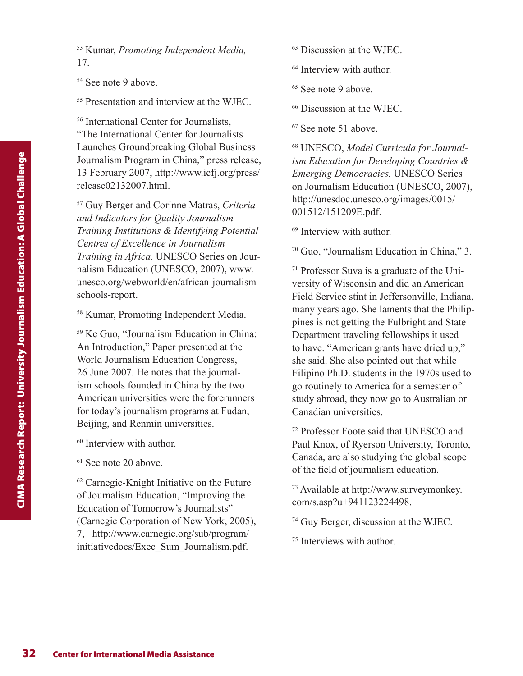53 Kumar, *Promoting Independent Media,*  17.

<sup>54</sup> See note 9 above.

55 Presentation and interview at the WJEC.

56 International Center for Journalists, "The International Center for Journalists Launches Groundbreaking Global Business Journalism Program in China," press release, 13 February 2007, http://www.icfj.org/press/ release02132007.html.

32 Journalism Program in China," program in China," protects: The Center Country Center of Secretions for Quality Journal Media Assistance Centers of Excellence in Journalism Centers of Excellence in Journalism Centers of 57 Guy Berger and Corinne Matras, *Criteria and Indicators for Quality Journalism Training Institutions & Identifying Potential Centres of Excellence in Journalism Training in Africa.* UNESCO Series on Journalism Education (UNESCO, 2007), www. unesco.org/webworld/en/african-journalismschools-report.

58 Kumar, Promoting Independent Media.

59 Ke Guo, "Journalism Education in China: An Introduction," Paper presented at the World Journalism Education Congress, 26 June 2007. He notes that the journalism schools founded in China by the two American universities were the forerunners for today's journalism programs at Fudan, Beijing, and Renmin universities.

<sup>60</sup> Interview with author.

61 See note 20 above.

62 Carnegie-Knight Initiative on the Future of Journalism Education, "Improving the Education of Tomorrow's Journalists" (Carnegie Corporation of New York, 2005), 7, http://www.carnegie.org/sub/program/ initiativedocs/Exec\_Sum\_Journalism.pdf.

63 Discussion at the WJEC.

<sup>64</sup> Interview with author.

65 See note 9 above.

66 Discussion at the WJEC.

67 See note 51 above.

68 UNESCO, *Model Curricula for Journalism Education for Developing Countries & Emerging Democracies.* UNESCO Series on Journalism Education (UNESCO, 2007), http://unesdoc.unesco.org/images/0015/ 001512/151209E.pdf.

69 Interview with author.

70 Guo, "Journalism Education in China," 3.

71 Professor Suva is a graduate of the University of Wisconsin and did an American Field Service stint in Jeffersonville, Indiana, many years ago. She laments that the Philippines is not getting the Fulbright and State Department traveling fellowships it used to have. "American grants have dried up," she said. She also pointed out that while Filipino Ph.D. students in the 1970s used to go routinely to America for a semester of study abroad, they now go to Australian or Canadian universities.

72 Professor Foote said that UNESCO and Paul Knox, of Ryerson University, Toronto, Canada, are also studying the global scope of the field of journalism education.

73 Available at http://www.surveymonkey. com/s.asp?u+941123224498.

74 Guy Berger, discussion at the WJEC.

75 Interviews with author.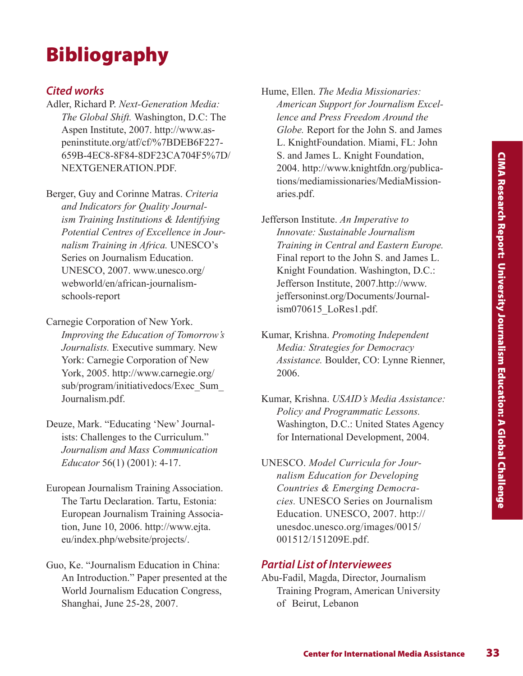# Bibliography

#### *Cited works*

Adler, Richard P. *Next-Generation Media: The Global Shift.* Washington, D.C: The Aspen Institute, 2007. http://www.aspeninstitute.org/atf/cf/%7BDEB6F227- 659B-4EC8-8F84-8DF23CA704F5%7D/ NEXTGENERATION.PDF.

Berger, Guy and Corinne Matras. *Criteria and Indicators for Quality Journalism Training Institutions & Identifying Potential Centres of Excellence in Journalism Training in Africa.* UNESCO's Series on Journalism Education. UNESCO, 2007. www.unesco.org/ webworld/en/african-journalismschools-report

- Carnegie Corporation of New York. *Improving the Education of Tomorrow's Journalists.* Executive summary. New York: Carnegie Corporation of New York, 2005. http://www.carnegie.org/ sub/program/initiativedocs/Exec\_Sum\_ Journalism.pdf.
- Deuze, Mark. "Educating 'New' Journalists: Challenges to the Curriculum." *Journalism and Mass Communication Educator* 56(1) (2001): 4-17.
- European Journalism Training Association. The Tartu Declaration. Tartu, Estonia: European Journalism Training Association, June 10, 2006. http://www.ejta. eu/index.php/website/projects/.
- Guo, Ke. "Journalism Education in China: An Introduction." Paper presented at the World Journalism Education Congress, Shanghai, June 25-28, 2007.

Hume, Ellen. *The Media Missionaries: American Support for Journalism Excellence and Press Freedom Around the Globe.* Report for the John S. and James L. KnightFoundation. Miami, FL: John S. and James L. Knight Foundation, 2004. http://www.knightfdn.org/publications/mediamissionaries/MediaMissionaries.pdf.

James L. Knight Foundation,<br>
http://www.knightfth.org/publica-<br>
mediamissionaries/MediaMission-<br>
polf.<br>
Institute. An Imperative to<br>
the Sustainable Journalism<br>
ing in Central and Eastern Europe.<br>
Treput to the John S. and Jefferson Institute. *An Imperative to Innovate: Sustainable Journalism Training in Central and Eastern Europe.* Final report to the John S. and James L. Knight Foundation. Washington, D.C.: Jefferson Institute, 2007.http://www. jeffersoninst.org/Documents/Journalism070615\_LoRes1.pdf.

- Kumar, Krishna. *Promoting Independent Media: Strategies for Democracy Assistance.* Boulder, CO: Lynne Rienner, 2006.
- Kumar, Krishna. *USAID's Media Assistance: Policy and Programmatic Lessons.*  Washington, D.C.: United States Agency for International Development, 2004.
- UNESCO. *Model Curricula for Journalism Education for Developing Countries & Emerging Democracies.* UNESCO Series on Journalism Education. UNESCO, 2007. http:// unesdoc.unesco.org/images/0015/ 001512/151209E.pdf.

#### *Partial List of Interviewees*

Abu-Fadil, Magda, Director, Journalism Training Program, American University of Beirut, Lebanon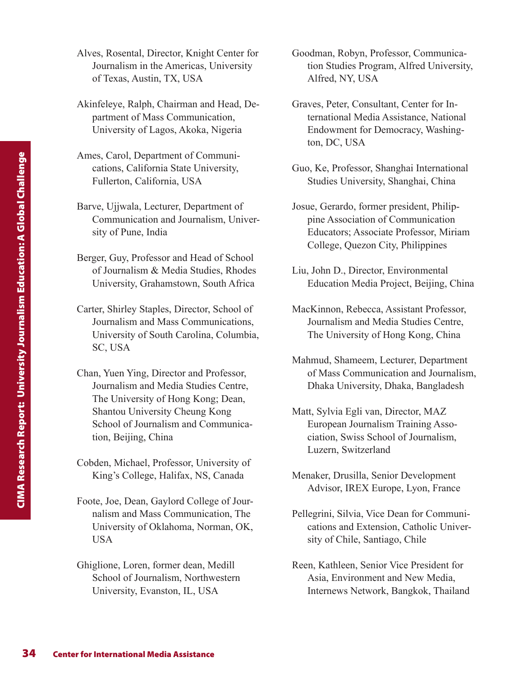- Alves, Rosental, Director, Knight Center for Journalism in the Americas, University of Texas, Austin, TX, USA
- Akinfeleye, Ralph, Chairman and Head, Department of Mass Communication, University of Lagos, Akoka, Nigeria
- Ames, Carol, Department of Communications, California State University, Fullerton, California, USA
- Barve, Ujjwala, Lecturer, Department of Communication and Journalism, University of Pune, India
- Berger, Guy, Professor and Head of School of Journalism & Media Studies, Rhodes University, Grahamstown, South Africa
- Carter, Shirley Staples, Director, School of Journalism and Mass Communications, University of South Carolina, Columbia, SC, USA
- Ames, Carol, Department of Com<br>
cations, California State University of Pune, India Assistance Communication and Journalism<br>
Education Communication and Internation and Internation and Internation<br>
of Journalism & Media St Chan, Yuen Ying, Director and Professor, Journalism and Media Studies Centre, The University of Hong Kong; Dean, Shantou University Cheung Kong School of Journalism and Communication, Beijing, China
	- Cobden, Michael, Professor, University of King's College, Halifax, NS, Canada
	- Foote, Joe, Dean, Gaylord College of Journalism and Mass Communication, The University of Oklahoma, Norman, OK, USA
	- Ghiglione, Loren, former dean, Medill School of Journalism, Northwestern University, Evanston, IL, USA
- Goodman, Robyn, Professor, Communication Studies Program, Alfred University, Alfred, NY, USA
- Graves, Peter, Consultant, Center for International Media Assistance, National Endowment for Democracy, Washington, DC, USA
- Guo, Ke, Professor, Shanghai International Studies University, Shanghai, China
- Josue, Gerardo, former president, Philippine Association of Communication Educators; Associate Professor, Miriam College, Quezon City, Philippines
- Liu, John D., Director, Environmental Education Media Project, Beijing, China
- MacKinnon, Rebecca, Assistant Professor, Journalism and Media Studies Centre, The University of Hong Kong, China
- Mahmud, Shameem, Lecturer, Department of Mass Communication and Journalism, Dhaka University, Dhaka, Bangladesh
- Matt, Sylvia Egli van, Director, MAZ European Journalism Training Association, Swiss School of Journalism, Luzern, Switzerland
- Menaker, Drusilla, Senior Development Advisor, IREX Europe, Lyon, France
- Pellegrini, Silvia, Vice Dean for Communications and Extension, Catholic University of Chile, Santiago, Chile
- Reen, Kathleen, Senior Vice President for Asia, Environment and New Media, Internews Network, Bangkok, Thailand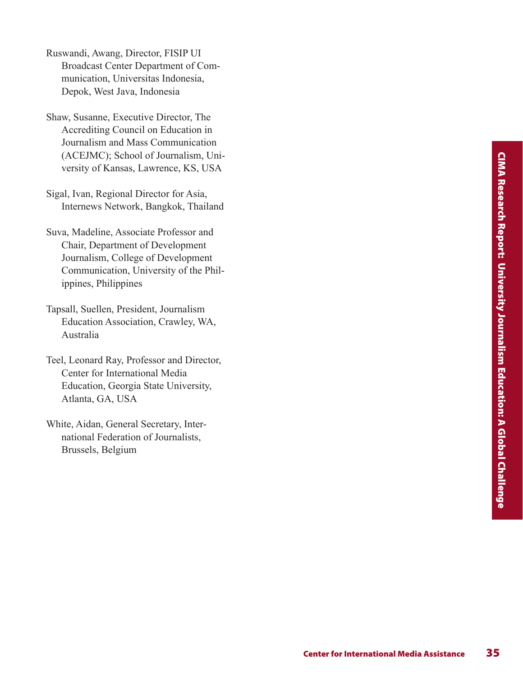Ruswandi, Awang, Director, FISIP UI Broadcast Center Department of Communication, Universitas Indonesia, Depok, West Java, Indonesia

- Shaw, Susanne, Executive Director, The Accrediting Council on Education in Journalism and Mass Communication (ACEJMC); School of Journalism, University of Kansas, Lawrence, KS, USA
- Sigal, Ivan, Regional Director for Asia, Internews Network, Bangkok, Thailand
- Suva, Madeline, Associate Professor and Chair, Department of Development Journalism, College of Development Communication, University of the Philippines, Philippines
- Tapsall, Suellen, President, Journalism Education Association, Crawley, WA, Australia
- Teel, Leonard Ray, Professor and Director, Center for International Media Education, Georgia State University, Atlanta, GA, USA
- White, Aidan, General Secretary, International Federation of Journalists, Brussels, Belgium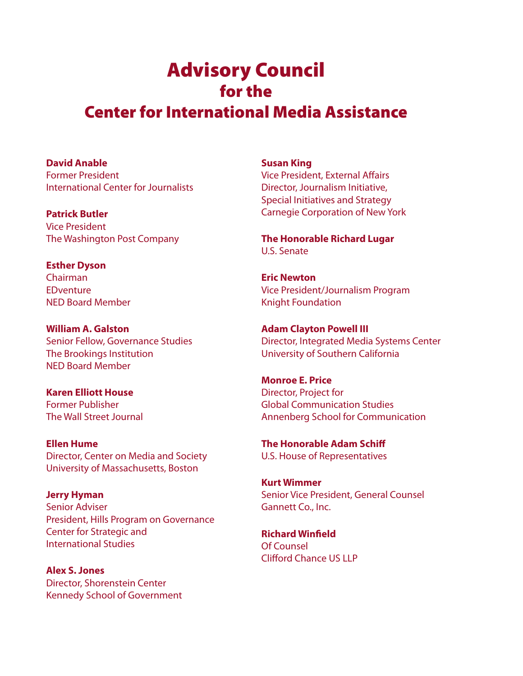### Advisory Council for the Center for International Media Assistance

**David Anable** Former President International Center for Journalists

**Patrick Butler** Vice President The Washington Post Company

**Esther Dyson** Chairman EDventure NED Board Member

**William A. Galston** Senior Fellow, Governance Studies The Brookings Institution NED Board Member

**Karen Elliott House** Former Publisher The Wall Street Journal

**Ellen Hume** Director, Center on Media and Society University of Massachusetts, Boston

**Jerry Hyman** Senior Adviser President, Hills Program on Governance Center for Strategic and International Studies

**Alex S. Jones** Director, Shorenstein Center Kennedy School of Government

#### **Susan King**

Vice President, External Affairs Director, Journalism Initiative, Special Initiatives and Strategy Carnegie Corporation of New York

**The Honorable Richard Lugar** U.S. Senate

**Eric Newton** Vice President/Journalism Program Knight Foundation

**Adam Clayton Powell III** Director, Integrated Media Systems Center University of Southern California

**Monroe E. Price** Director, Project for Global Communication Studies Annenberg School for Communication

**The Honorable Adam Schiff** U.S. House of Representatives

**Kurt Wimmer** Senior Vice President, General Counsel Gannett Co., Inc.

**Richard Winfield** Of Counsel Clifford Chance US LLP